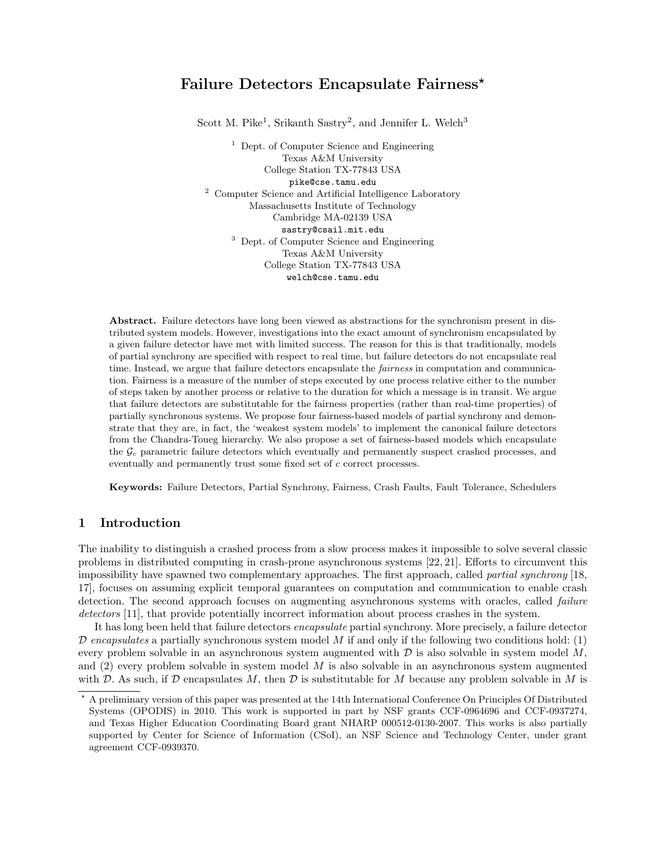# Failure Detectors Encapsulate Fairness\*

Scott M. Pike<sup>1</sup>, Srikanth Sastry<sup>2</sup>, and Jennifer L. Welch<sup>3</sup>

 $<sup>1</sup>$  Dept. of Computer Science and Engineering</sup> Texas A&M University College Station TX-77843 USA pike@cse.tamu.edu <sup>2</sup> Computer Science and Artificial Intelligence Laboratory Massachusetts Institute of Technology Cambridge MA-02139 USA sastry@csail.mit.edu <sup>3</sup> Dept. of Computer Science and Engineering Texas A&M University College Station TX-77843 USA welch@cse.tamu.edu

Abstract. Failure detectors have long been viewed as abstractions for the synchronism present in distributed system models. However, investigations into the exact amount of synchronism encapsulated by a given failure detector have met with limited success. The reason for this is that traditionally, models of partial synchrony are specified with respect to real time, but failure detectors do not encapsulate real time. Instead, we argue that failure detectors encapsulate the *fairness* in computation and communication. Fairness is a measure of the number of steps executed by one process relative either to the number of steps taken by another process or relative to the duration for which a message is in transit. We argue that failure detectors are substitutable for the fairness properties (rather than real-time properties) of partially synchronous systems. We propose four fairness-based models of partial synchrony and demonstrate that they are, in fact, the 'weakest system models' to implement the canonical failure detectors from the Chandra-Toueg hierarchy. We also propose a set of fairness-based models which encapsulate the  $\mathcal{G}_c$  parametric failure detectors which eventually and permanently suspect crashed processes, and eventually and permanently trust some fixed set of c correct processes.

Keywords: Failure Detectors, Partial Synchrony, Fairness, Crash Faults, Fault Tolerance, Schedulers

# 1 Introduction

The inability to distinguish a crashed process from a slow process makes it impossible to solve several classic problems in distributed computing in crash-prone asynchronous systems [22, 21]. Efforts to circumvent this impossibility have spawned two complementary approaches. The first approach, called *partial synchrony* [18, 17], focuses on assuming explicit temporal guarantees on computation and communication to enable crash detection. The second approach focuses on augmenting asynchronous systems with oracles, called *failure* detectors [11], that provide potentially incorrect information about process crashes in the system.

It has long been held that failure detectors encapsulate partial synchrony. More precisely, a failure detector  $\mathcal D$  encapsulates a partially synchronous system model M if and only if the following two conditions hold: (1) every problem solvable in an asynchronous system augmented with  $\mathcal D$  is also solvable in system model M, and  $(2)$  every problem solvable in system model M is also solvable in an asynchronous system augmented with D. As such, if D encapsulates M, then D is substitutable for M because any problem solvable in M is

<sup>?</sup> A preliminary version of this paper was presented at the 14th International Conference On Principles Of Distributed Systems (OPODIS) in 2010. This work is supported in part by NSF grants CCF-0964696 and CCF-0937274, and Texas Higher Education Coordinating Board grant NHARP 000512-0130-2007. This works is also partially supported by Center for Science of Information (CSoI), an NSF Science and Technology Center, under grant agreement CCF-0939370.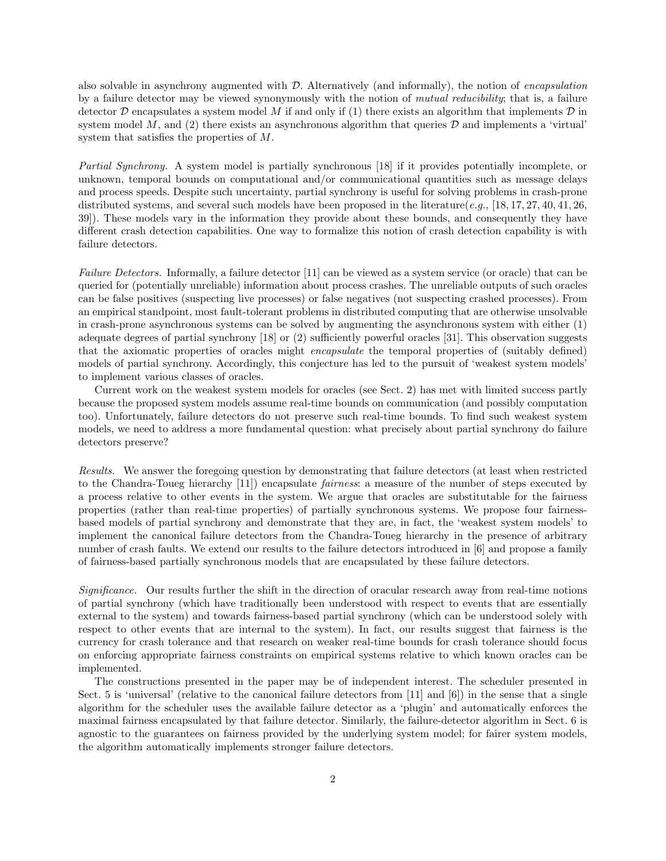also solvable in asynchrony augmented with  $D$ . Alternatively (and informally), the notion of *encapsulation* by a failure detector may be viewed synonymously with the notion of mutual reducibility; that is, a failure detector D encapsulates a system model M if and only if (1) there exists an algorithm that implements D in system model  $M$ , and (2) there exists an asynchronous algorithm that queries  $D$  and implements a 'virtual' system that satisfies the properties of M.

Partial Synchrony. A system model is partially synchronous [18] if it provides potentially incomplete, or unknown, temporal bounds on computational and/or communicational quantities such as message delays and process speeds. Despite such uncertainty, partial synchrony is useful for solving problems in crash-prone distributed systems, and several such models have been proposed in the literature(e.g., [18, 17, 27, 40, 41, 26, 39]). These models vary in the information they provide about these bounds, and consequently they have different crash detection capabilities. One way to formalize this notion of crash detection capability is with failure detectors.

Failure Detectors. Informally, a failure detector [11] can be viewed as a system service (or oracle) that can be queried for (potentially unreliable) information about process crashes. The unreliable outputs of such oracles can be false positives (suspecting live processes) or false negatives (not suspecting crashed processes). From an empirical standpoint, most fault-tolerant problems in distributed computing that are otherwise unsolvable in crash-prone asynchronous systems can be solved by augmenting the asynchronous system with either (1) adequate degrees of partial synchrony [18] or (2) sufficiently powerful oracles [31]. This observation suggests that the axiomatic properties of oracles might encapsulate the temporal properties of (suitably defined) models of partial synchrony. Accordingly, this conjecture has led to the pursuit of 'weakest system models' to implement various classes of oracles.

Current work on the weakest system models for oracles (see Sect. 2) has met with limited success partly because the proposed system models assume real-time bounds on communication (and possibly computation too). Unfortunately, failure detectors do not preserve such real-time bounds. To find such weakest system models, we need to address a more fundamental question: what precisely about partial synchrony do failure detectors preserve?

Results. We answer the foregoing question by demonstrating that failure detectors (at least when restricted to the Chandra-Toueg hierarchy [11]) encapsulate fairness: a measure of the number of steps executed by a process relative to other events in the system. We argue that oracles are substitutable for the fairness properties (rather than real-time properties) of partially synchronous systems. We propose four fairnessbased models of partial synchrony and demonstrate that they are, in fact, the 'weakest system models' to implement the canonical failure detectors from the Chandra-Toueg hierarchy in the presence of arbitrary number of crash faults. We extend our results to the failure detectors introduced in [6] and propose a family of fairness-based partially synchronous models that are encapsulated by these failure detectors.

Significance. Our results further the shift in the direction of oracular research away from real-time notions of partial synchrony (which have traditionally been understood with respect to events that are essentially external to the system) and towards fairness-based partial synchrony (which can be understood solely with respect to other events that are internal to the system). In fact, our results suggest that fairness is the currency for crash tolerance and that research on weaker real-time bounds for crash tolerance should focus on enforcing appropriate fairness constraints on empirical systems relative to which known oracles can be implemented.

The constructions presented in the paper may be of independent interest. The scheduler presented in Sect. 5 is 'universal' (relative to the canonical failure detectors from [11] and [6]) in the sense that a single algorithm for the scheduler uses the available failure detector as a 'plugin' and automatically enforces the maximal fairness encapsulated by that failure detector. Similarly, the failure-detector algorithm in Sect. 6 is agnostic to the guarantees on fairness provided by the underlying system model; for fairer system models, the algorithm automatically implements stronger failure detectors.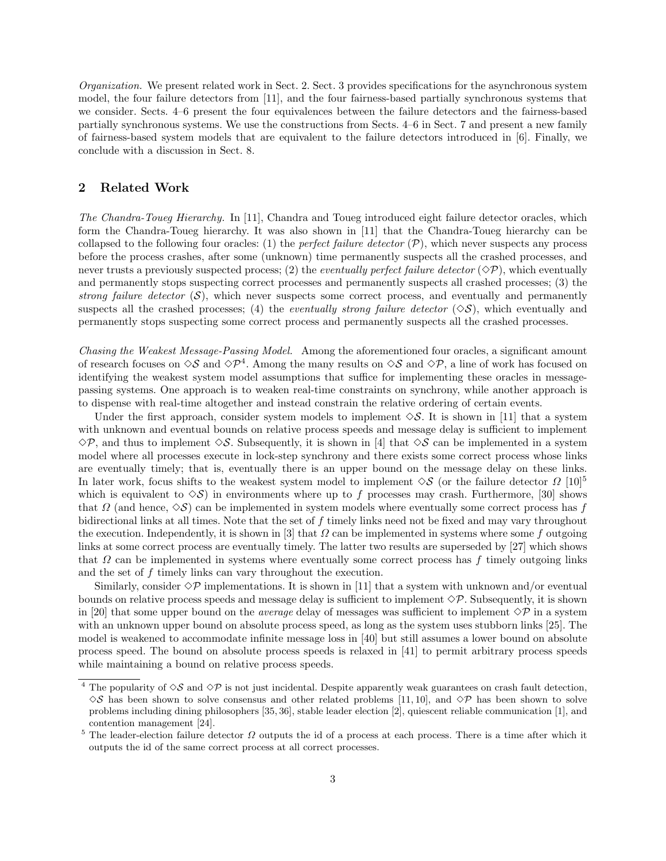Organization. We present related work in Sect. 2. Sect. 3 provides specifications for the asynchronous system model, the four failure detectors from [11], and the four fairness-based partially synchronous systems that we consider. Sects. 4–6 present the four equivalences between the failure detectors and the fairness-based partially synchronous systems. We use the constructions from Sects. 4–6 in Sect. 7 and present a new family of fairness-based system models that are equivalent to the failure detectors introduced in [6]. Finally, we conclude with a discussion in Sect. 8.

# 2 Related Work

The Chandra-Toueg Hierarchy. In [11], Chandra and Toueg introduced eight failure detector oracles, which form the Chandra-Toueg hierarchy. It was also shown in [11] that the Chandra-Toueg hierarchy can be collapsed to the following four oracles: (1) the *perfect failure detector*  $(P)$ , which never suspects any process before the process crashes, after some (unknown) time permanently suspects all the crashed processes, and never trusts a previously suspected process; (2) the *eventually perfect failure detector* ( $\diamond$ P), which eventually and permanently stops suspecting correct processes and permanently suspects all crashed processes; (3) the strong failure detector  $(S)$ , which never suspects some correct process, and eventually and permanently suspects all the crashed processes; (4) the *eventually strong failure detector*  $(\Diamond S)$ , which eventually and permanently stops suspecting some correct process and permanently suspects all the crashed processes.

Chasing the Weakest Message-Passing Model. Among the aforementioned four oracles, a significant amount of research focuses on  $\Diamond S$  and  $\Diamond P^4$ . Among the many results on  $\Diamond S$  and  $\Diamond P$ , a line of work has focused on identifying the weakest system model assumptions that suffice for implementing these oracles in messagepassing systems. One approach is to weaken real-time constraints on synchrony, while another approach is to dispense with real-time altogether and instead constrain the relative ordering of certain events.

Under the first approach, consider system models to implement  $\Diamond S$ . It is shown in [11] that a system with unknown and eventual bounds on relative process speeds and message delay is sufficient to implement  $\Diamond P$ , and thus to implement  $\Diamond S$ . Subsequently, it is shown in [4] that  $\Diamond S$  can be implemented in a system model where all processes execute in lock-step synchrony and there exists some correct process whose links are eventually timely; that is, eventually there is an upper bound on the message delay on these links. In later work, focus shifts to the weakest system model to implement  $\Diamond S$  (or the failure detector  $\Omega$  [10]<sup>5</sup> which is equivalent to  $\infty$ ) in environments where up to f processes may crash. Furthermore, [30] shows that  $\Omega$  (and hence,  $\Diamond S$ ) can be implemented in system models where eventually some correct process has f bidirectional links at all times. Note that the set of f timely links need not be fixed and may vary throughout the execution. Independently, it is shown in [3] that  $\Omega$  can be implemented in systems where some f outgoing links at some correct process are eventually timely. The latter two results are superseded by [27] which shows that  $\Omega$  can be implemented in systems where eventually some correct process has f timely outgoing links and the set of f timely links can vary throughout the execution.

Similarly, consider  $\Diamond \mathcal{P}$  implementations. It is shown in [11] that a system with unknown and/or eventual bounds on relative process speeds and message delay is sufficient to implement  $\Diamond P$ . Subsequently, it is shown in [20] that some upper bound on the *average* delay of messages was sufficient to implement  $\Diamond \mathcal{P}$  in a system with an unknown upper bound on absolute process speed, as long as the system uses stubborn links [25]. The model is weakened to accommodate infinite message loss in [40] but still assumes a lower bound on absolute process speed. The bound on absolute process speeds is relaxed in [41] to permit arbitrary process speeds while maintaining a bound on relative process speeds.

<sup>&</sup>lt;sup>4</sup> The popularity of  $\Diamond S$  and  $\Diamond P$  is not just incidental. Despite apparently weak guarantees on crash fault detection,  $\Diamond S$  has been shown to solve consensus and other related problems [11, 10], and  $\Diamond P$  has been shown to solve problems including dining philosophers [35, 36], stable leader election [2], quiescent reliable communication [1], and contention management [24].

<sup>&</sup>lt;sup>5</sup> The leader-election failure detector  $\Omega$  outputs the id of a process at each process. There is a time after which it outputs the id of the same correct process at all correct processes.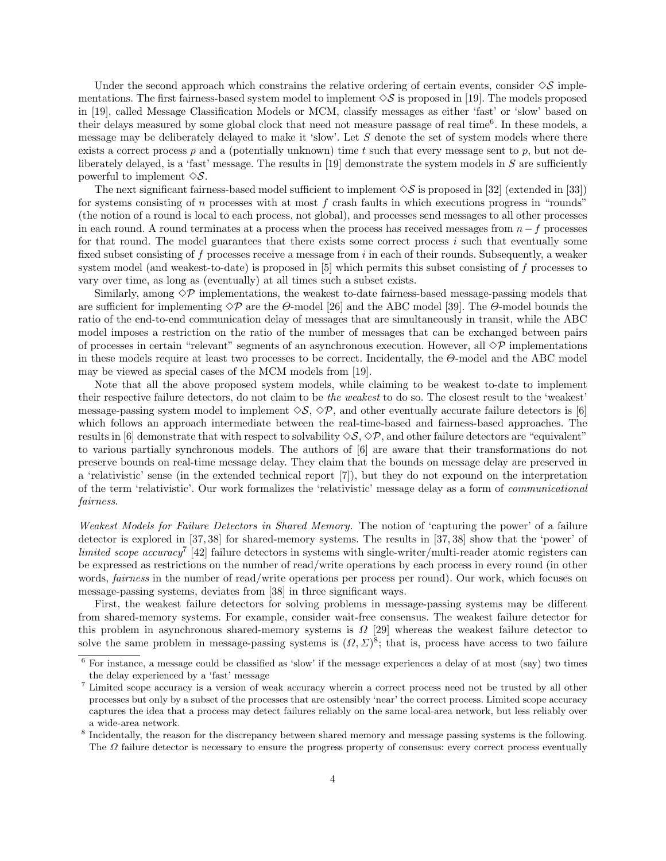Under the second approach which constrains the relative ordering of certain events, consider  $\Diamond S$  implementations. The first fairness-based system model to implement  $\Diamond S$  is proposed in [19]. The models proposed in [19], called Message Classification Models or MCM, classify messages as either 'fast' or 'slow' based on their delays measured by some global clock that need not measure passage of real time<sup>6</sup>. In these models, a message may be deliberately delayed to make it 'slow'. Let  $S$  denote the set of system models where there exists a correct process p and a (potentially unknown) time t such that every message sent to p, but not deliberately delayed, is a 'fast' message. The results in [19] demonstrate the system models in  $S$  are sufficiently powerful to implement  $\diamondsuit \mathcal{S}$ .

The next significant fairness-based model sufficient to implement  $\Diamond S$  is proposed in [32] (extended in [33]) for systems consisting of n processes with at most  $f$  crash faults in which executions progress in "rounds" (the notion of a round is local to each process, not global), and processes send messages to all other processes in each round. A round terminates at a process when the process has received messages from  $n-f$  processes for that round. The model guarantees that there exists some correct process  $i$  such that eventually some fixed subset consisting of f processes receive a message from  $i$  in each of their rounds. Subsequently, a weaker system model (and weakest-to-date) is proposed in [5] which permits this subset consisting of f processes to vary over time, as long as (eventually) at all times such a subset exists.

Similarly, among  $\Diamond \mathcal{P}$  implementations, the weakest to-date fairness-based message-passing models that are sufficient for implementing  $\Diamond \mathcal{P}$  are the  $\Theta$ -model [26] and the ABC model [39]. The  $\Theta$ -model bounds the ratio of the end-to-end communication delay of messages that are simultaneously in transit, while the ABC model imposes a restriction on the ratio of the number of messages that can be exchanged between pairs of processes in certain "relevant" segments of an asynchronous execution. However, all  $\Diamond \mathcal{P}$  implementations in these models require at least two processes to be correct. Incidentally, the Θ-model and the ABC model may be viewed as special cases of the MCM models from [19].

Note that all the above proposed system models, while claiming to be weakest to-date to implement their respective failure detectors, do not claim to be the weakest to do so. The closest result to the 'weakest' message-passing system model to implement  $\Diamond S$ ,  $\Diamond P$ , and other eventually accurate failure detectors is [6] which follows an approach intermediate between the real-time-based and fairness-based approaches. The results in [6] demonstrate that with respect to solvability  $\Diamond S$ ,  $\Diamond P$ , and other failure detectors are "equivalent" to various partially synchronous models. The authors of [6] are aware that their transformations do not preserve bounds on real-time message delay. They claim that the bounds on message delay are preserved in a 'relativistic' sense (in the extended technical report [7]), but they do not expound on the interpretation of the term 'relativistic'. Our work formalizes the 'relativistic' message delay as a form of communicational fairness.

Weakest Models for Failure Detectors in Shared Memory. The notion of 'capturing the power' of a failure detector is explored in [37, 38] for shared-memory systems. The results in [37, 38] show that the 'power' of limited scope accuracy<sup>7</sup> [42] failure detectors in systems with single-writer/multi-reader atomic registers can be expressed as restrictions on the number of read/write operations by each process in every round (in other words, fairness in the number of read/write operations per process per round). Our work, which focuses on message-passing systems, deviates from [38] in three significant ways.

First, the weakest failure detectors for solving problems in message-passing systems may be different from shared-memory systems. For example, consider wait-free consensus. The weakest failure detector for this problem in asynchronous shared-memory systems is  $\Omega$  [29] whereas the weakest failure detector to solve the same problem in message-passing systems is  $(\Omega, \Sigma)^8$ ; that is, process have access to two failure

 $6$  For instance, a message could be classified as 'slow' if the message experiences a delay of at most (say) two times the delay experienced by a 'fast' message

<sup>7</sup> Limited scope accuracy is a version of weak accuracy wherein a correct process need not be trusted by all other processes but only by a subset of the processes that are ostensibly 'near' the correct process. Limited scope accuracy captures the idea that a process may detect failures reliably on the same local-area network, but less reliably over a wide-area network.

<sup>&</sup>lt;sup>8</sup> Incidentally, the reason for the discrepancy between shared memory and message passing systems is the following. The  $\Omega$  failure detector is necessary to ensure the progress property of consensus: every correct process eventually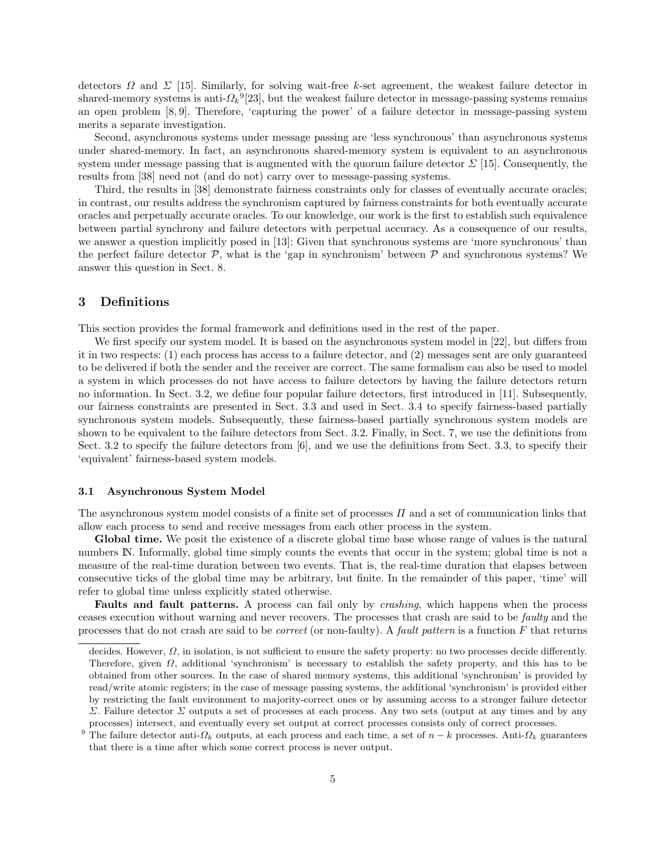detectors  $\Omega$  and  $\Sigma$  [15]. Similarly, for solving wait-free k-set agreement, the weakest failure detector in shared-memory systems is anti- $\Omega_k$ <sup>9</sup>[23], but the weakest failure detector in message-passing systems remains an open problem [8, 9]. Therefore, 'capturing the power' of a failure detector in message-passing system merits a separate investigation.

Second, asynchronous systems under message passing are 'less synchronous' than asynchronous systems under shared-memory. In fact, an asynchronous shared-memory system is equivalent to an asynchronous system under message passing that is augmented with the quorum failure detector  $\Sigma$  [15]. Consequently, the results from [38] need not (and do not) carry over to message-passing systems.

Third, the results in [38] demonstrate fairness constraints only for classes of eventually accurate oracles; in contrast, our results address the synchronism captured by fairness constraints for both eventually accurate oracles and perpetually accurate oracles. To our knowledge, our work is the first to establish such equivalence between partial synchrony and failure detectors with perpetual accuracy. As a consequence of our results, we answer a question implicitly posed in [13]: Given that synchronous systems are 'more synchronous' than the perfect failure detector  $P$ , what is the 'gap in synchronism' between  $P$  and synchronous systems? We answer this question in Sect. 8.

# 3 Definitions

This section provides the formal framework and definitions used in the rest of the paper.

We first specify our system model. It is based on the asynchronous system model in [22], but differs from it in two respects: (1) each process has access to a failure detector, and (2) messages sent are only guaranteed to be delivered if both the sender and the receiver are correct. The same formalism can also be used to model a system in which processes do not have access to failure detectors by having the failure detectors return no information. In Sect. 3.2, we define four popular failure detectors, first introduced in [11]. Subsequently, our fairness constraints are presented in Sect. 3.3 and used in Sect. 3.4 to specify fairness-based partially synchronous system models. Subsequently, these fairness-based partially synchronous system models are shown to be equivalent to the failure detectors from Sect. 3.2. Finally, in Sect. 7, we use the definitions from Sect. 3.2 to specify the failure detectors from [6], and we use the definitions from Sect. 3.3, to specify their 'equivalent' fairness-based system models.

#### 3.1 Asynchronous System Model

The asynchronous system model consists of a finite set of processes  $\Pi$  and a set of communication links that allow each process to send and receive messages from each other process in the system.

Global time. We posit the existence of a discrete global time base whose range of values is the natural numbers IN. Informally, global time simply counts the events that occur in the system; global time is not a measure of the real-time duration between two events. That is, the real-time duration that elapses between consecutive ticks of the global time may be arbitrary, but finite. In the remainder of this paper, 'time' will refer to global time unless explicitly stated otherwise.

Faults and fault patterns. A process can fail only by *crashing*, which happens when the process ceases execution without warning and never recovers. The processes that crash are said to be faulty and the processes that do not crash are said to be *correct* (or non-faulty). A *fault pattern* is a function  $F$  that returns

decides. However,  $\Omega$ , in isolation, is not sufficient to ensure the safety property: no two processes decide differently. Therefore, given  $\Omega$ , additional 'synchronism' is necessary to establish the safety property, and this has to be obtained from other sources. In the case of shared memory systems, this additional 'synchronism' is provided by read/write atomic registers; in the case of message passing systems, the additional 'synchronism' is provided either by restricting the fault environment to majority-correct ones or by assuming access to a stronger failure detector Σ. Failure detector Σ outputs a set of processes at each process. Any two sets (output at any times and by any processes) intersect, and eventually every set output at correct processes consists only of correct processes.

<sup>&</sup>lt;sup>9</sup> The failure detector anti- $\Omega_k$  outputs, at each process and each time, a set of  $n - k$  processes. Anti- $\Omega_k$  guarantees that there is a time after which some correct process is never output.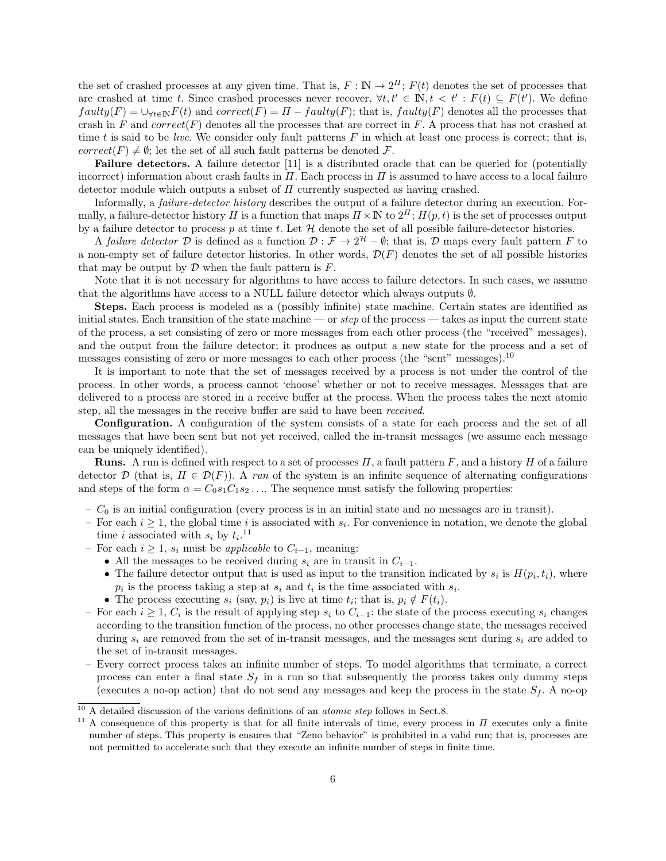the set of crashed processes at any given time. That is,  $F : \mathbb{N} \to 2^{I}$ ;  $F(t)$  denotes the set of processes that are crashed at time t. Since crashed processes never recover,  $\forall t, t' \in \mathbb{N}, t < t' : F(t) \subseteq F(t')$ . We define  $faulty(F) = \bigcup_{\forall t \in \mathbb{N}} F(t)$  and  $correct(F) = \Pi - faulty(F)$ ; that is, faulty(F) denotes all the processes that crash in F and  $correct(F)$  denotes all the processes that are correct in F. A process that has not crashed at time t is said to be *live*. We consider only fault patterns  $F$  in which at least one process is correct; that is,  $correct(F) \neq \emptyset$ ; let the set of all such fault patterns be denoted F.

Failure detectors. A failure detector [11] is a distributed oracle that can be queried for (potentially incorrect) information about crash faults in  $\Pi$ . Each process in  $\Pi$  is assumed to have access to a local failure detector module which outputs a subset of  $\Pi$  currently suspected as having crashed.

Informally, a failure-detector history describes the output of a failure detector during an execution. Formally, a failure-detector history H is a function that maps  $\Pi \times \mathbb{N}$  to  $2^{\Pi}$ ;  $H(p, t)$  is the set of processes output by a failure detector to process p at time t. Let  $H$  denote the set of all possible failure-detector histories.

A failure detector D is defined as a function  $\mathcal{D}: \mathcal{F} \to 2^{\mathcal{H}} - \emptyset$ ; that is, D maps every fault pattern F to a non-empty set of failure detector histories. In other words,  $\mathcal{D}(F)$  denotes the set of all possible histories that may be output by  $D$  when the fault pattern is  $F$ .

Note that it is not necessary for algorithms to have access to failure detectors. In such cases, we assume that the algorithms have access to a NULL failure detector which always outputs  $\emptyset$ .

Steps. Each process is modeled as a (possibly infinite) state machine. Certain states are identified as initial states. Each transition of the state machine — or step of the process — takes as input the current state of the process, a set consisting of zero or more messages from each other process (the "received" messages), and the output from the failure detector; it produces as output a new state for the process and a set of messages consisting of zero or more messages to each other process (the "sent" messages).<sup>10</sup>

It is important to note that the set of messages received by a process is not under the control of the process. In other words, a process cannot 'choose' whether or not to receive messages. Messages that are delivered to a process are stored in a receive buffer at the process. When the process takes the next atomic step, all the messages in the receive buffer are said to have been received.

Configuration. A configuration of the system consists of a state for each process and the set of all messages that have been sent but not yet received, called the in-transit messages (we assume each message can be uniquely identified).

**Runs.** A run is defined with respect to a set of processes  $\Pi$ , a fault pattern F, and a history H of a failure detector D (that is,  $H \in \mathcal{D}(F)$ ). A run of the system is an infinite sequence of alternating configurations and steps of the form  $\alpha = C_0s_1C_1s_2 \ldots$  The sequence must satisfy the following properties:

- $-C_0$  is an initial configuration (every process is in an initial state and no messages are in transit).
- For each  $i \geq 1$ , the global time i is associated with  $s_i$ . For convenience in notation, we denote the global time *i* associated with  $s_i$  by  $t_i$ .<sup>11</sup>
- For each  $i \geq 1$ ,  $s_i$  must be *applicable* to  $C_{i-1}$ , meaning:
	- All the messages to be received during  $s_i$  are in transit in  $C_{i-1}$ .
	- The failure detector output that is used as input to the transition indicated by  $s_i$  is  $H(p_i, t_i)$ , where  $p_i$  is the process taking a step at  $s_i$  and  $t_i$  is the time associated with  $s_i$ .
	- The process executing  $s_i$  (say,  $p_i$ ) is live at time  $t_i$ ; that is,  $p_i \notin F(t_i)$ .
- − For each  $i \geq 1$ ,  $C_i$  is the result of applying step  $s_i$  to  $C_{i-1}$ : the state of the process executing  $s_i$  changes according to the transition function of the process, no other processes change state, the messages received during  $s_i$  are removed from the set of in-transit messages, and the messages sent during  $s_i$  are added to the set of in-transit messages.
- Every correct process takes an infinite number of steps. To model algorithms that terminate, a correct process can enter a final state  $S_f$  in a run so that subsequently the process takes only dummy steps (executes a no-op action) that do not send any messages and keep the process in the state  $S_f$ . A no-op

 $10$  A detailed discussion of the various definitions of an *atomic step* follows in Sect.8.

<sup>&</sup>lt;sup>11</sup> A consequence of this property is that for all finite intervals of time, every process in  $\Pi$  executes only a finite number of steps. This property is ensures that "Zeno behavior" is prohibited in a valid run; that is, processes are not permitted to accelerate such that they execute an infinite number of steps in finite time.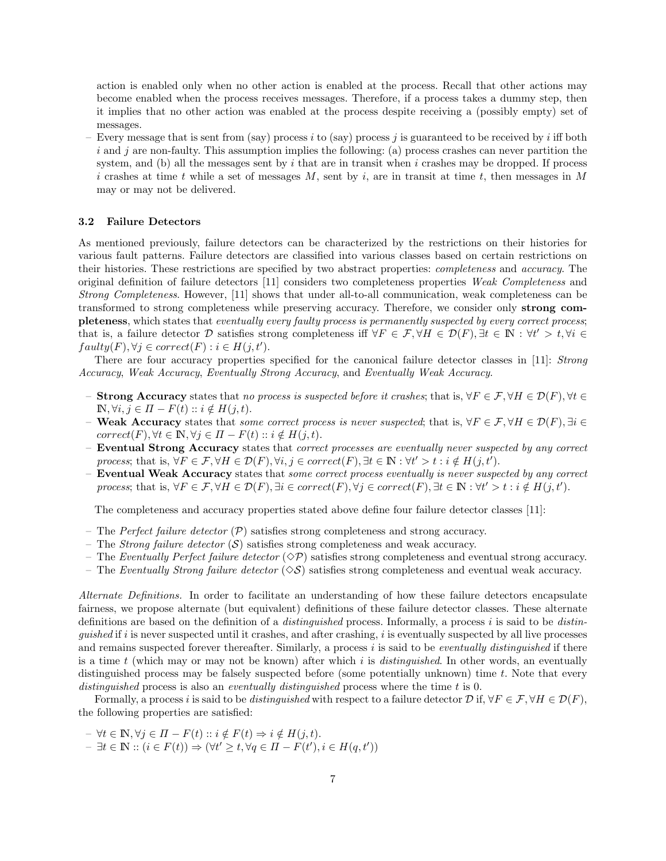action is enabled only when no other action is enabled at the process. Recall that other actions may become enabled when the process receives messages. Therefore, if a process takes a dummy step, then it implies that no other action was enabled at the process despite receiving a (possibly empty) set of messages.

Every message that is sent from (say) process i to (say) process j is guaranteed to be received by i iff both i and j are non-faulty. This assumption implies the following: (a) process crashes can never partition the system, and (b) all the messages sent by  $i$  that are in transit when  $i$  crashes may be dropped. If process i crashes at time t while a set of messages M, sent by i, are in transit at time t, then messages in M may or may not be delivered.

### 3.2 Failure Detectors

As mentioned previously, failure detectors can be characterized by the restrictions on their histories for various fault patterns. Failure detectors are classified into various classes based on certain restrictions on their histories. These restrictions are specified by two abstract properties: completeness and accuracy. The original definition of failure detectors [11] considers two completeness properties Weak Completeness and Strong Completeness. However, [11] shows that under all-to-all communication, weak completeness can be transformed to strong completeness while preserving accuracy. Therefore, we consider only strong completeness, which states that eventually every faulty process is permanently suspected by every correct process; that is, a failure detector D satisfies strong completeness iff  $\forall F \in \mathcal{F}, \forall H \in \mathcal{D}(F), \exists t \in \mathbb{N} : \forall t' > t, \forall i \in \mathbb{N}$  $faulty(F), \forall j \in correct(F) : i \in H(j, t').$ 

There are four accuracy properties specified for the canonical failure detector classes in [11]: Strong Accuracy, Weak Accuracy, Eventually Strong Accuracy, and Eventually Weak Accuracy.

- **Strong Accuracy** states that no process is suspected before it crashes; that is,  $\forall F \in \mathcal{F}, \forall H \in \mathcal{D}(F), \forall t \in \mathcal{F}$  $\mathbb{N}, \forall i, j \in \Pi - F(t) :: i \notin H(j, t).$
- Weak Accuracy states that some correct process is never suspected; that is,  $\forall F \in \mathcal{F}, \forall H \in \mathcal{D}(F)$ ,  $\exists i \in$  $correct(F), \forall t \in \mathbb{N}, \forall j \in \Pi - F(t) :: i \notin H(j, t).$
- Eventual Strong Accuracy states that correct processes are eventually never suspected by any correct process; that is,  $\forall F \in \mathcal{F}, \forall H \in \mathcal{D}(F), \forall i, j \in correct(F), \exists t \in \mathbb{N} : \forall t' > t : i \notin H(j, t').$
- Eventual Weak Accuracy states that some correct process eventually is never suspected by any correct process; that is,  $\forall F \in \mathcal{F}, \forall H \in \mathcal{D}(F), \exists i \in correct(F), \forall j \in correct(F), \exists t \in \mathbb{N} : \forall t' > t : i \notin H(j, t').$

The completeness and accuracy properties stated above define four failure detector classes [11]:

- The Perfect failure detector  $(P)$  satisfies strong completeness and strong accuracy.
- The Strong failure detector  $(\mathcal{S})$  satisfies strong completeness and weak accuracy.
- The Eventually Perfect failure detector  $(\Diamond \mathcal{P})$  satisfies strong completeness and eventual strong accuracy.
- The Eventually Strong failure detector  $(\Diamond S)$  satisfies strong completeness and eventual weak accuracy.

Alternate Definitions. In order to facilitate an understanding of how these failure detectors encapsulate fairness, we propose alternate (but equivalent) definitions of these failure detector classes. These alternate definitions are based on the definition of a *distinguished* process. Informally, a process i is said to be *distin*quished if  $i$  is never suspected until it crashes, and after crashing,  $i$  is eventually suspected by all live processes and remains suspected forever thereafter. Similarly, a process  $i$  is said to be *eventually distinguished* if there is a time t (which may or may not be known) after which i is distinguished. In other words, an eventually distinguished process may be falsely suspected before (some potentially unknown) time  $t$ . Note that every distinguished process is also an *eventually distinguished* process where the time  $t$  is 0.

Formally, a process i is said to be distinguished with respect to a failure detector  $\mathcal{D}$  if,  $\forall F \in \mathcal{F}, \forall H \in \mathcal{D}(F)$ , the following properties are satisfied:

- $\forall t \in \mathbb{N}, \forall j \in \Pi F(t) :: i \notin F(t) \Rightarrow i \notin H(j, t).$
- $\exists t \in \mathbb{N} :: (i \in F(t)) \Rightarrow (\forall t' \geq t, \forall q \in \Pi F(t'), i \in H(q, t'))$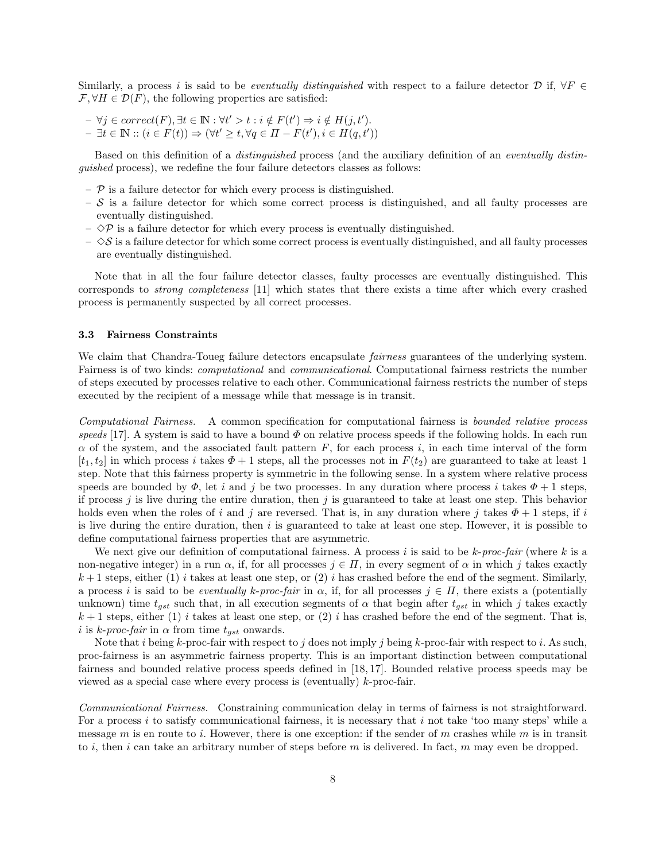Similarly, a process i is said to be *eventually distinguished* with respect to a failure detector  $\mathcal{D}$  if,  $\forall F \in$  $\mathcal{F}, \forall H \in \mathcal{D}(F)$ , the following properties are satisfied:

 $- \forall j \in correct(F), \exists t \in \mathbb{N} : \forall t' > t : i \notin F(t') \Rightarrow i \notin H(j, t').$  $- \exists t \in \mathbb{N} :: (i \in F(t)) \Rightarrow (\forall t' \geq t, \forall q \in \Pi - F(t'), i \in H(q, t'))$ 

Based on this definition of a distinguished process (and the auxiliary definition of an eventually distinguished process), we redefine the four failure detectors classes as follows:

- $-$  P is a failure detector for which every process is distinguished.
- $-$  S is a failure detector for which some correct process is distinguished, and all faulty processes are eventually distinguished.
- $-\diamondsuit \mathcal{P}$  is a failure detector for which every process is eventually distinguished.
- $-\diamondsuit$  is a failure detector for which some correct process is eventually distinguished, and all faulty processes are eventually distinguished.

Note that in all the four failure detector classes, faulty processes are eventually distinguished. This corresponds to strong completeness [11] which states that there exists a time after which every crashed process is permanently suspected by all correct processes.

#### 3.3 Fairness Constraints

We claim that Chandra-Toueg failure detectors encapsulate *fairness* guarantees of the underlying system. Fairness is of two kinds: computational and communicational. Computational fairness restricts the number of steps executed by processes relative to each other. Communicational fairness restricts the number of steps executed by the recipient of a message while that message is in transit.

Computational Fairness. A common specification for computational fairness is bounded relative process speeds [17]. A system is said to have a bound  $\Phi$  on relative process speeds if the following holds. In each run  $\alpha$  of the system, and the associated fault pattern F, for each process i, in each time interval of the form  $[t_1, t_2]$  in which process i takes  $\Phi + 1$  steps, all the processes not in  $F(t_2)$  are guaranteed to take at least 1 step. Note that this fairness property is symmetric in the following sense. In a system where relative process speeds are bounded by  $\Phi$ , let i and j be two processes. In any duration where process i takes  $\Phi + 1$  steps, if process  $j$  is live during the entire duration, then  $j$  is guaranteed to take at least one step. This behavior holds even when the roles of i and j are reversed. That is, in any duration where j takes  $\Phi + 1$  steps, if i is live during the entire duration, then i is guaranteed to take at least one step. However, it is possible to define computational fairness properties that are asymmetric.

We next give our definition of computational fairness. A process i is said to be  $k$ -proc-fair (where k is a non-negative integer) in a run  $\alpha$ , if, for all processes  $j \in \Pi$ , in every segment of  $\alpha$  in which j takes exactly  $k+1$  steps, either (1) i takes at least one step, or (2) i has crashed before the end of the segment. Similarly, a process i is said to be *eventually k-proc-fair* in  $\alpha$ , if, for all processes  $j \in \Pi$ , there exists a (potentially unknown) time  $t_{gst}$  such that, in all execution segments of  $\alpha$  that begin after  $t_{gst}$  in which j takes exactly  $k+1$  steps, either (1) i takes at least one step, or (2) i has crashed before the end of the segment. That is, i is k-proc-fair in  $\alpha$  from time  $t_{ast}$  onwards.

Note that i being k-proc-fair with respect to j does not imply j being k-proc-fair with respect to i. As such, proc-fairness is an asymmetric fairness property. This is an important distinction between computational fairness and bounded relative process speeds defined in [18, 17]. Bounded relative process speeds may be viewed as a special case where every process is (eventually)  $k$ -proc-fair.

Communicational Fairness. Constraining communication delay in terms of fairness is not straightforward. For a process i to satisfy communicational fairness, it is necessary that i not take 'too many steps' while a message m is en route to i. However, there is one exception: if the sender of m crashes while m is in transit to i, then i can take an arbitrary number of steps before  $m$  is delivered. In fact,  $m$  may even be dropped.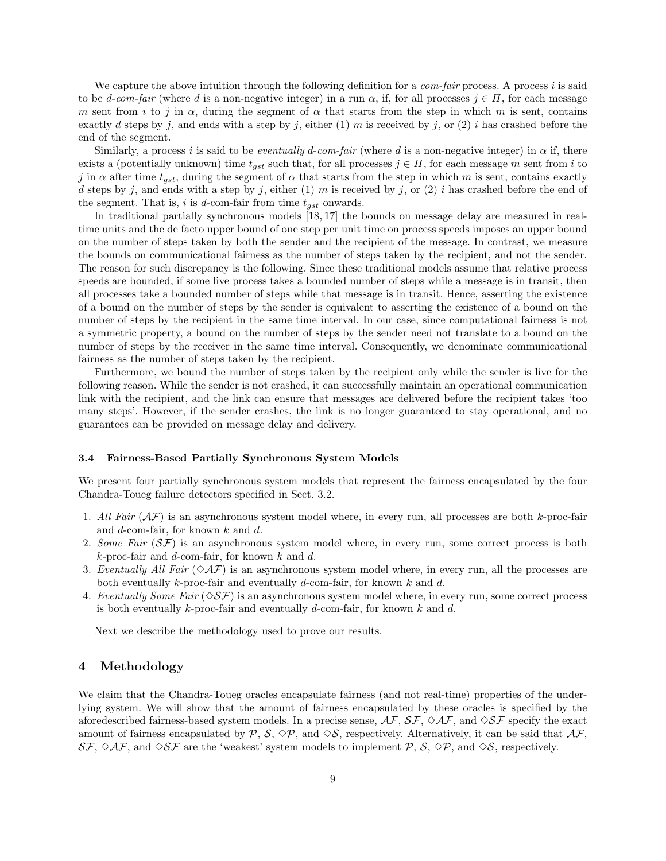We capture the above intuition through the following definition for a *com-fair* process. A process i is said to be d-com-fair (where d is a non-negative integer) in a run  $\alpha$ , if, for all processes  $j \in \Pi$ , for each message m sent from i to j in  $\alpha$ , during the segment of  $\alpha$  that starts from the step in which m is sent, contains exactly d steps by j, and ends with a step by j, either (1) m is received by j, or (2) i has crashed before the end of the segment.

Similarly, a process i is said to be *eventually d-com-fair* (where d is a non-negative integer) in  $\alpha$  if, there exists a (potentially unknown) time  $t_{ast}$  such that, for all processes  $j \in \Pi$ , for each message m sent from i to j in  $\alpha$  after time  $t_{ast}$ , during the segment of  $\alpha$  that starts from the step in which m is sent, contains exactly d steps by j, and ends with a step by j, either (1) m is received by j, or (2) i has crashed before the end of the segment. That is, i is d-com-fair from time  $t_{ast}$  onwards.

In traditional partially synchronous models [18, 17] the bounds on message delay are measured in realtime units and the de facto upper bound of one step per unit time on process speeds imposes an upper bound on the number of steps taken by both the sender and the recipient of the message. In contrast, we measure the bounds on communicational fairness as the number of steps taken by the recipient, and not the sender. The reason for such discrepancy is the following. Since these traditional models assume that relative process speeds are bounded, if some live process takes a bounded number of steps while a message is in transit, then all processes take a bounded number of steps while that message is in transit. Hence, asserting the existence of a bound on the number of steps by the sender is equivalent to asserting the existence of a bound on the number of steps by the recipient in the same time interval. In our case, since computational fairness is not a symmetric property, a bound on the number of steps by the sender need not translate to a bound on the number of steps by the receiver in the same time interval. Consequently, we denominate communicational fairness as the number of steps taken by the recipient.

Furthermore, we bound the number of steps taken by the recipient only while the sender is live for the following reason. While the sender is not crashed, it can successfully maintain an operational communication link with the recipient, and the link can ensure that messages are delivered before the recipient takes 'too many steps'. However, if the sender crashes, the link is no longer guaranteed to stay operational, and no guarantees can be provided on message delay and delivery.

#### 3.4 Fairness-Based Partially Synchronous System Models

We present four partially synchronous system models that represent the fairness encapsulated by the four Chandra-Toueg failure detectors specified in Sect. 3.2.

- 1. All Fair  $(\mathcal{A}F)$  is an asynchronous system model where, in every run, all processes are both k-proc-fair and  $d$ -com-fair, for known  $k$  and  $d$ .
- 2. Some Fair  $(SF)$  is an asynchronous system model where, in every run, some correct process is both  $k$ -proc-fair and  $d$ -com-fair, for known  $k$  and  $d$ .
- 3. Eventually All Fair  $(\Diamond A\mathcal{F})$  is an asynchronous system model where, in every run, all the processes are both eventually k-proc-fair and eventually d-com-fair, for known k and d.
- 4. Eventually Some Fair  $(\Diamond S\mathcal{F})$  is an asynchronous system model where, in every run, some correct process is both eventually k-proc-fair and eventually  $d$ -com-fair, for known k and  $d$ .

Next we describe the methodology used to prove our results.

### 4 Methodology

We claim that the Chandra-Toueg oracles encapsulate fairness (and not real-time) properties of the underlying system. We will show that the amount of fairness encapsulated by these oracles is specified by the aforedescribed fairness-based system models. In a precise sense,  $\mathcal{AF}, \mathcal{SF}, \Diamond \mathcal{AF},$  and  $\Diamond \mathcal{SF}$  specify the exact amount of fairness encapsulated by  $\mathcal{P}, \mathcal{S}, \Diamond \mathcal{P},$  and  $\Diamond \mathcal{S}$ , respectively. Alternatively, it can be said that  $\mathcal{AF}$ ,  $S\mathcal{F}, \Diamond \mathcal{AF},$  and  $\Diamond S\mathcal{F}$  are the 'weakest' system models to implement  $\mathcal{P}, \mathcal{S}, \Diamond \mathcal{P},$  and  $\Diamond \mathcal{S},$  respectively.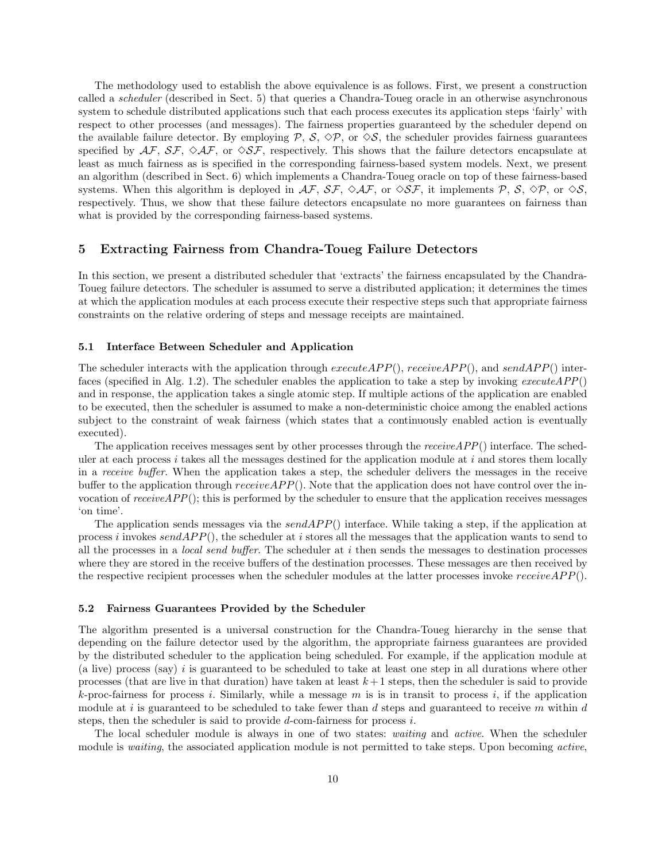The methodology used to establish the above equivalence is as follows. First, we present a construction called a scheduler (described in Sect. 5) that queries a Chandra-Toueg oracle in an otherwise asynchronous system to schedule distributed applications such that each process executes its application steps 'fairly' with respect to other processes (and messages). The fairness properties guaranteed by the scheduler depend on the available failure detector. By employing  $P$ ,  $S$ ,  $\Diamond P$ , or  $\Diamond S$ , the scheduler provides fairness guarantees specified by  $\mathcal{AF}, \mathcal{SF}, \Diamond \mathcal{AF},$  or  $\Diamond \mathcal{SF},$  respectively. This shows that the failure detectors encapsulate at least as much fairness as is specified in the corresponding fairness-based system models. Next, we present an algorithm (described in Sect. 6) which implements a Chandra-Toueg oracle on top of these fairness-based systems. When this algorithm is deployed in  $\mathcal{AF}, \mathcal{SF}, \Diamond \mathcal{AF},$  or  $\Diamond \mathcal{SF},$  it implements  $\mathcal{P}, \mathcal{S}, \Diamond \mathcal{P},$  or  $\Diamond \mathcal{S},$ respectively. Thus, we show that these failure detectors encapsulate no more guarantees on fairness than what is provided by the corresponding fairness-based systems.

# 5 Extracting Fairness from Chandra-Toueg Failure Detectors

In this section, we present a distributed scheduler that 'extracts' the fairness encapsulated by the Chandra-Toueg failure detectors. The scheduler is assumed to serve a distributed application; it determines the times at which the application modules at each process execute their respective steps such that appropriate fairness constraints on the relative ordering of steps and message receipts are maintained.

### 5.1 Interface Between Scheduler and Application

The scheduler interacts with the application through  $executeAPP()$ ,  $receiveAPP()$ , and  $sendAPP()$  interfaces (specified in Alg. 1.2). The scheduler enables the application to take a step by invoking  $executeAPP()$ and in response, the application takes a single atomic step. If multiple actions of the application are enabled to be executed, then the scheduler is assumed to make a non-deterministic choice among the enabled actions subject to the constraint of weak fairness (which states that a continuously enabled action is eventually executed).

The application receives messages sent by other processes through the  $receiveAPP()$  interface. The scheduler at each process  $i$  takes all the messages destined for the application module at  $i$  and stores them locally in a receive buffer. When the application takes a step, the scheduler delivers the messages in the receive buffer to the application through  $receiverAPP()$ . Note that the application does not have control over the invocation of receiveAPP(); this is performed by the scheduler to ensure that the application receives messages 'on time'.

The application sends messages via the  $sendAPP()$  interface. While taking a step, if the application at process i invokes sendAPP(), the scheduler at i stores all the messages that the application wants to send to all the processes in a *local send buffer*. The scheduler at  $i$  then sends the messages to destination processes where they are stored in the receive buffers of the destination processes. These messages are then received by the respective recipient processes when the scheduler modules at the latter processes invoke  $receiveAPP()$ .

#### 5.2 Fairness Guarantees Provided by the Scheduler

The algorithm presented is a universal construction for the Chandra-Toueg hierarchy in the sense that depending on the failure detector used by the algorithm, the appropriate fairness guarantees are provided by the distributed scheduler to the application being scheduled. For example, if the application module at (a live) process (say)  $i$  is guaranteed to be scheduled to take at least one step in all durations where other processes (that are live in that duration) have taken at least  $k+1$  steps, then the scheduler is said to provide k-proc-fairness for process i. Similarly, while a message m is is in transit to process i, if the application module at i is guaranteed to be scheduled to take fewer than  $d$  steps and guaranteed to receive  $m$  within  $d$ steps, then the scheduler is said to provide d-com-fairness for process  $i$ .

The local scheduler module is always in one of two states: *waiting* and *active*. When the scheduler module is *waiting*, the associated application module is not permitted to take steps. Upon becoming *active*,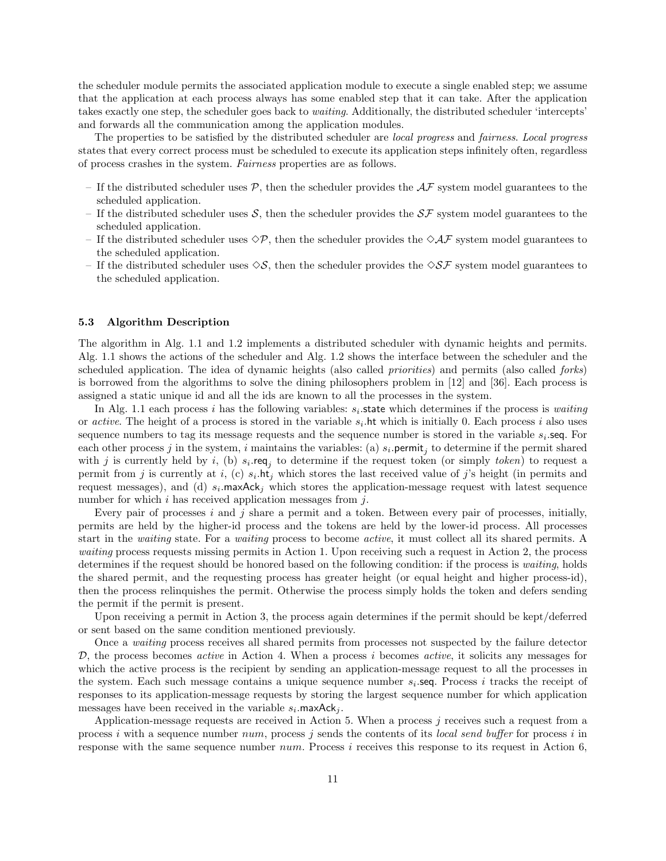the scheduler module permits the associated application module to execute a single enabled step; we assume that the application at each process always has some enabled step that it can take. After the application takes exactly one step, the scheduler goes back to waiting. Additionally, the distributed scheduler 'intercepts' and forwards all the communication among the application modules.

The properties to be satisfied by the distributed scheduler are *local progress* and *fairness. Local progress* states that every correct process must be scheduled to execute its application steps infinitely often, regardless of process crashes in the system. Fairness properties are as follows.

- If the distributed scheduler uses P, then the scheduler provides the  $\mathcal{AF}$  system model guarantees to the scheduled application.
- If the distributed scheduler uses S, then the scheduler provides the  $S\mathcal{F}$  system model guarantees to the scheduled application.
- If the distributed scheduler uses  $\Diamond \mathcal{P}$ , then the scheduler provides the  $\Diamond \mathcal{A} \mathcal{F}$  system model guarantees to the scheduled application.
- If the distributed scheduler uses  $\Diamond S$ , then the scheduler provides the  $\Diamond S\mathcal{F}$  system model guarantees to the scheduled application.

#### 5.3 Algorithm Description

The algorithm in Alg. 1.1 and 1.2 implements a distributed scheduler with dynamic heights and permits. Alg. 1.1 shows the actions of the scheduler and Alg. 1.2 shows the interface between the scheduler and the scheduled application. The idea of dynamic heights (also called priorities) and permits (also called forks) is borrowed from the algorithms to solve the dining philosophers problem in [12] and [36]. Each process is assigned a static unique id and all the ids are known to all the processes in the system.

In Alg. 1.1 each process i has the following variables:  $s_i$  state which determines if the process is waiting or *active*. The height of a process is stored in the variable  $s_i$ . In which is initially 0. Each process i also uses sequence numbers to tag its message requests and the sequence number is stored in the variable  $s_i$  seq. For each other process  $j$  in the system,  $i$  maintains the variables: (a)  $s_i$  permit<sub>j</sub> to determine if the permit shared with j is currently held by i, (b)  $s_i$  req<sub>j</sub> to determine if the request token (or simply token) to request a permit from j is currently at i, (c)  $s_i$ .ht<sub>j</sub> which stores the last received value of j's height (in permits and request messages), and (d)  $s_i$ .maxAck<sub>j</sub> which stores the application-message request with latest sequence number for which  $i$  has received application messages from  $j$ .

Every pair of processes  $i$  and  $j$  share a permit and a token. Between every pair of processes, initially, permits are held by the higher-id process and the tokens are held by the lower-id process. All processes start in the *waiting* state. For a *waiting* process to become *active*, it must collect all its shared permits. A waiting process requests missing permits in Action 1. Upon receiving such a request in Action 2, the process determines if the request should be honored based on the following condition: if the process is waiting, holds the shared permit, and the requesting process has greater height (or equal height and higher process-id), then the process relinquishes the permit. Otherwise the process simply holds the token and defers sending the permit if the permit is present.

Upon receiving a permit in Action 3, the process again determines if the permit should be kept/deferred or sent based on the same condition mentioned previously.

Once a waiting process receives all shared permits from processes not suspected by the failure detector  $D$ , the process becomes *active* in Action 4. When a process i becomes *active*, it solicits any messages for which the active process is the recipient by sending an application-message request to all the processes in the system. Each such message contains a unique sequence number  $s_i$  seq. Process i tracks the receipt of responses to its application-message requests by storing the largest sequence number for which application messages have been received in the variable  $s_i$ .maxAck<sub>j</sub>.

Application-message requests are received in Action 5. When a process j receives such a request from a process i with a sequence number num, process j sends the contents of its local send buffer for process i in response with the same sequence number  $num$ . Process i receives this response to its request in Action 6,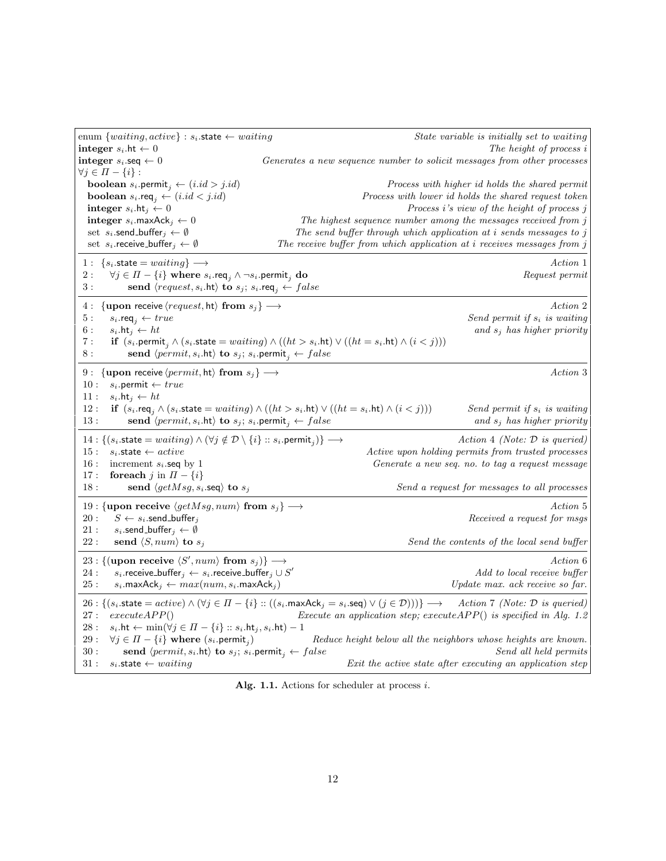enum  $\{waiting, active\} : s_i$ .state ← waiting State variable is initially set to waiting integer  $s_i$ .ht  $\leftarrow 0$  The height of process i integer  $s_i$  seq  $\leftarrow 0$  Generates a new sequence number to solicit messages from other processes  $\forall j \in \Pi - \{i\}$ : **boolean**  $s_i$  permit<sub>i</sub> ←  $(i.d > j.d)$  Process with higher id holds the shared permit **boolean**  $s_i$ .req<sub>j</sub> ← (*i.id* < *j.id*) <br>**holds** the shared request token<br>**integer**  $s_i$ .ht<sub>j</sub> ← 0<br>**Process i's view of the height of process j** Process i's view of the height of process j integer  $s_i$  maxAck<sub>i</sub>  $\leftarrow 0$  The highest sequence number among the messages received from j set  $s_i$  send buffer  $i \leftarrow \emptyset$  The send buffer through which application at i sends messages to j set  $s_i$ .receive buffer  $j \leftarrow \emptyset$  The receive buffer from which application at i receives messages from j 1 :  $\{s_i$ .state = waiting  $\} \longrightarrow$  Action 1 2 :  $\forall j \in \Pi - \{i\}$  where  $s_i$ .req<sub>i</sub>  $\wedge \neg s_i$ .permit<sub>i</sub> do Request permit 3 : send  $\langle request, s_i.$ ht $\rangle$  to  $s_j$ ;  $s_i$ .req<sub>i</sub>  $\leftarrow false$ 4 : {upon receive  $\langle request, \text{ht} \rangle$  from  $s_i$ }  $\longrightarrow$  Action 2 5 :  $s_i \cdot \text{req}_j \leftarrow true$ <br>  $s_i \cdot \text{lt } t$ <br>  $s_i \cdot \text{lt } t$ <br>  $s_i \cdot \text{lt } t$ <br>  $s_i \cdot \text{lt } t$ <br>  $s_i \cdot \text{len } t$ <br>  $s_i \cdot \text{ls}$ <br>  $s_i \cdot \text{ls}$ <br>  $s_i \cdot \text{ls}$ <br>  $s_i \cdot \text{ls}$ <br>  $s_i \cdot \text{ls}$ <br>  $s_i \cdot \text{ls}$ <br>  $s_i \cdot \text{ls}$ <br>  $s_i \cdot \text{ls}$ <br>  $s_i \cdot \text{ls}$ and  $s_i$  has higher priority 7 : if  $(s_i.\text{permit}_i \wedge (s_i.\text{state} = waiting) \wedge ((ht > s_i.\text{ht}) \vee ((ht = s_i.\text{ht}) \wedge (i < j)))$ 8 : send  $\langle permit, s_i.$ ht $\rangle$  to  $s_j$ ;  $s_i.$ permit $i_j \leftarrow false$ 9 : {upon receive  $\langle permit, ht \rangle$  from  $s_i$ }  $\longrightarrow$  Action 3 10 :  $s_i$ .permit  $\leftarrow true$ 11 :  $s_i$ .ht<sub>i</sub>  $\leftarrow$  ht 12 : if  $(s_i \cdot \text{req}_i \land (s_i \cdot \text{state} = waiting) \land ((ht > s_i \cdot \text{ht}) \lor ((ht = s_i \cdot \text{ht}) \land (i < j)))$  Send permit if  $s_i$  is waiting 13 : send  $\langle permit, s_i.$ ht $\rangle$  to  $s_j$ ;  $s_i.$  permit $s_i \leftarrow false$  and  $s_j$  has higher priority 14 : { $(s_i.\textsf{state} = waiting) \land (\forall j \notin \mathcal{D} \setminus \{i\} :: s_i.\textsf{permit}_j)\} \longrightarrow$  $Action 4 (Note: D is queried)$ 15 :  $s_i$ .state ← active  $\overline{a}$  Active upon holding permits from trusted processes 16 : increment  $s_i$  seq by 1 Generate a new seq. no. to tag a request message 17 : foreach j in  $\Pi - \{i\}$ 18 : send  $\{getMsg, s_i.\text{seq}\}$  to  $s_j$  Send a request for messages to all processes 19 : {upon receive  $\langle getMsg, num \rangle$  from  $s_j$ }  $\longrightarrow$  Action 5 20 :  $S \leftarrow s_i$  send buffer  $i$ 21 :  $s_i$ .send\_buffer $j \leftarrow \emptyset$ 22 : send  $\langle S, num \rangle$  to  $s_j$  Send the contents of the local send buffer  $23: \{(\text{upon receive } \langle S', num \rangle \text{ from } s_j)\} \longrightarrow$  Action 6 24 : si.receive\_buffer $j \leftarrow s_i$ .receive\_buffer $j \cup S'$ Add to local receive buffer 25 :  $s_i$ .maxAck<sub>j</sub> ←  $max(num, s_i)$  **update max.** ack receive so far. 26 :  $\{(s_i.\textsf{state} = active) \land (\forall j \in \Pi - \{i\} :: ((s_i.\textsf{maxAck}_j = s_i.\textsf{seq}) \lor (j \in \mathcal{D})))\} \longrightarrow$  Action 7 (Note:  $\mathcal D$  is queried) 27 : execute APP() Execute an application step; execute APP() is specified in Alg. 1.2 28 :  $s_i$ .ht  $\leftarrow$  min( $\forall j \in \Pi - \{i\} :: s_i$ .ht<sub>j</sub>,  $s_i$ .ht) – 1 29 :  $\forall j \in \Pi - \{i\}$  where  $(s_i.\text{permit}_i)$ Reduce height below all the neighbors whose heights are known. 30 : send  $\langle permit, s_i.ht \rangle$  to  $s_j$ ;  $s_i$ .permit $j \leftarrow false$ <br>31 :  $s_i$ .state  $\leftarrow$  waiting  $\qquad \qquad$  Exit the active state after executing an application step  $Exit$  the active state after executing an application step

Alg. 1.1. Actions for scheduler at process i.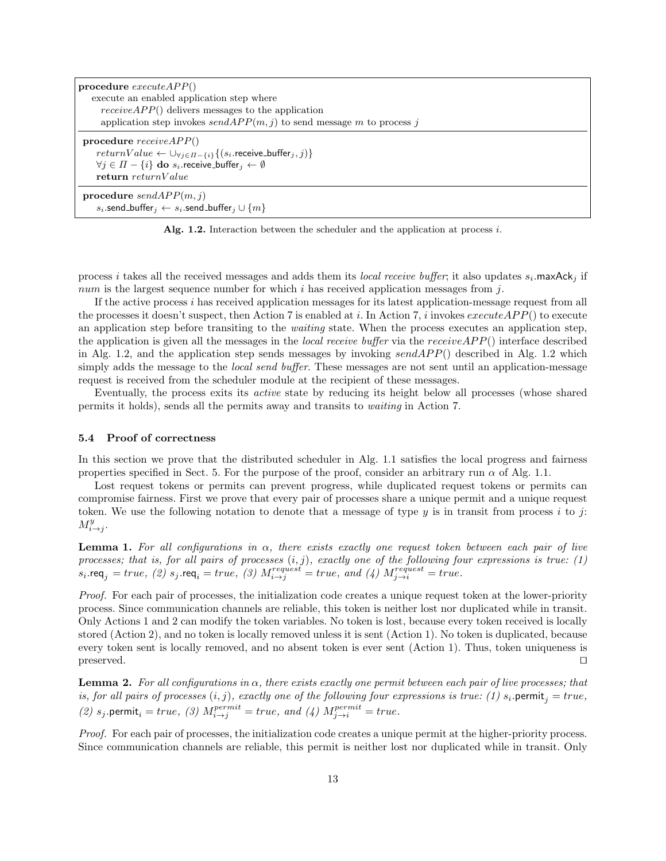| $procedure \; executeAPP()$<br>execute an enabled application step where<br>$receiveAPP()$ delivers messages to the application<br>application step invokes $sendAPP(m, j)$ to send message m to process j                             |
|----------------------------------------------------------------------------------------------------------------------------------------------------------------------------------------------------------------------------------------|
| procedure $receiveAPP()$<br>$return Value \leftarrow \cup_{\forall j \in \Pi - \{i\}} \{(s_i.\text{receive\_buffer}_j, j)\}\$<br>$\forall j \in \Pi - \{i\}$ do $s_i$ receive buffer $i \leftarrow \emptyset$<br>return $return Value$ |
| <b>procedure</b> sendAPP $(m, j)$<br>$s_i$ send_buffer $i \leftarrow s_i$ send_buffer $i \cup \{m\}$                                                                                                                                   |

Alg. 1.2. Interaction between the scheduler and the application at process i.

process i takes all the received messages and adds them its *local receive buffer*; it also updates  $s_i$  maxAck<sub>j</sub> if num is the largest sequence number for which i has received application messages from  $i$ .

If the active process i has received application messages for its latest application-message request from all the processes it doesn't suspect, then Action 7 is enabled at i. In Action 7, i invokes  $executeAPP()$  to execute an application step before transiting to the waiting state. When the process executes an application step, the application is given all the messages in the *local receive buffer* via the *receiveAPP*() interface described in Alg. 1.2, and the application step sends messages by invoking  $sendAPP()$  described in Alg. 1.2 which simply adds the message to the *local send buffer*. These messages are not sent until an application-message request is received from the scheduler module at the recipient of these messages.

Eventually, the process exits its active state by reducing its height below all processes (whose shared permits it holds), sends all the permits away and transits to waiting in Action 7.

#### 5.4 Proof of correctness

In this section we prove that the distributed scheduler in Alg. 1.1 satisfies the local progress and fairness properties specified in Sect. 5. For the purpose of the proof, consider an arbitrary run  $\alpha$  of Alg. 1.1.

Lost request tokens or permits can prevent progress, while duplicated request tokens or permits can compromise fairness. First we prove that every pair of processes share a unique permit and a unique request token. We use the following notation to denote that a message of type  $y$  is in transit from process  $i$  to  $j$ :  $M_{i\rightarrow j}^y$ .

**Lemma 1.** For all configurations in  $\alpha$ , there exists exactly one request token between each pair of live processes; that is, for all pairs of processes  $(i, j)$ , exactly one of the following four expressions is true: (1)  $s_i.\mathsf{req}_j = true, \ (2) \ s_j.\mathsf{req}_i = true, \ (3) \ M^{request}_{i \rightarrow j} = true, \ and \ (4) \ M^{request}_{j \rightarrow i} = true.$ 

Proof. For each pair of processes, the initialization code creates a unique request token at the lower-priority process. Since communication channels are reliable, this token is neither lost nor duplicated while in transit. Only Actions 1 and 2 can modify the token variables. No token is lost, because every token received is locally stored (Action 2), and no token is locally removed unless it is sent (Action 1). No token is duplicated, because every token sent is locally removed, and no absent token is ever sent (Action 1). Thus, token uniqueness is  $\Box$  preserved.  $\Box$ 

**Lemma 2.** For all configurations in  $\alpha$ , there exists exactly one permit between each pair of live processes; that is, for all pairs of processes  $(i, j)$ , exactly one of the following four expressions is true: (1)  $s_i$ . permit<sub>j</sub> = true, (2)  $s_j$  permit<sub>i</sub> = true, (3)  $M_{i\rightarrow j}^{permit}$  = true, and (4)  $M_{j\rightarrow i}^{permit}$  = true.

Proof. For each pair of processes, the initialization code creates a unique permit at the higher-priority process. Since communication channels are reliable, this permit is neither lost nor duplicated while in transit. Only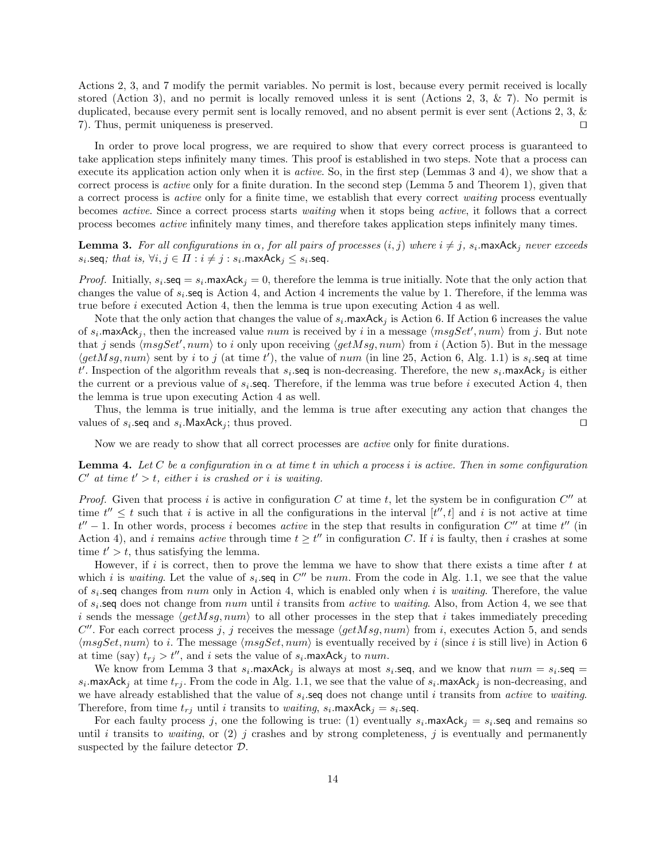Actions 2, 3, and 7 modify the permit variables. No permit is lost, because every permit received is locally stored (Action 3), and no permit is locally removed unless it is sent (Actions 2, 3, & 7). No permit is duplicated, because every permit sent is locally removed, and no absent permit is ever sent (Actions 2, 3, & 7). Thus, permit uniqueness is preserved.  $\square$ 

In order to prove local progress, we are required to show that every correct process is guaranteed to take application steps infinitely many times. This proof is established in two steps. Note that a process can execute its application action only when it is active. So, in the first step (Lemmas 3 and 4), we show that a correct process is active only for a finite duration. In the second step (Lemma 5 and Theorem 1), given that a correct process is active only for a finite time, we establish that every correct waiting process eventually becomes active. Since a correct process starts waiting when it stops being active, it follows that a correct process becomes active infinitely many times, and therefore takes application steps infinitely many times.

**Lemma 3.** For all configurations in  $\alpha$ , for all pairs of processes  $(i, j)$  where  $i \neq j$ ,  $s_i$  maxAck<sub>j</sub> never exceeds  $s_i$ .seq; that is,  $\forall i, j \in \Pi : i \neq j : s_i$ .max $\mathsf{Ack}_j \leq s_i$ .seq.

*Proof.* Initially,  $s_i$  seq =  $s_i$  maxAck<sub>j</sub> = 0, therefore the lemma is true initially. Note that the only action that changes the value of  $s_i$  seq is Action 4, and Action 4 increments the value by 1. Therefore, if the lemma was true before i executed Action 4, then the lemma is true upon executing Action 4 as well.

Note that the only action that changes the value of  $s_i$ . maxAck<sub>j</sub> is Action 6. If Action 6 increases the value of  $s_i$  maxAck<sub>j</sub>, then the increased value num is received by i in a message  $\langle msgSet', num \rangle$  from j. But note that j sends  $\langle msgSet', num \rangle$  to i only upon receiving  $\langle getMsg, num \rangle$  from i (Action 5). But in the message  $\langle getMsg, num \rangle$  sent by i to j (at time t'), the value of num (in line 25, Action 6, Alg. 1.1) is  $s_i$  seq at time t'. Inspection of the algorithm reveals that  $s_i$  seq is non-decreasing. Therefore, the new  $s_i$  maxAck<sub>j</sub> is either the current or a previous value of  $s_i$  seq. Therefore, if the lemma was true before i executed Action 4, then the lemma is true upon executing Action 4 as well.

Thus, the lemma is true initially, and the lemma is true after executing any action that changes the values of  $s_i$  seq and  $s_i$ . MaxAck<sub>j</sub>; thus proved.

Now we are ready to show that all correct processes are active only for finite durations.

**Lemma 4.** Let C be a configuration in  $\alpha$  at time t in which a process i is active. Then in some configuration  $C'$  at time  $t' > t$ , either i is crashed or i is waiting.

*Proof.* Given that process i is active in configuration C at time t, let the system be in configuration  $C''$  at time  $t'' \leq t$  such that i is active in all the configurations in the interval  $[t'', t]$  and i is not active at time  $t'' - 1$ . In other words, process i becomes *active* in the step that results in configuration  $C''$  at time  $t''$  (in Action 4), and i remains active through time  $t \geq t''$  in configuration C. If i is faulty, then i crashes at some time  $t' > t$ , thus satisfying the lemma.

However, if i is correct, then to prove the lemma we have to show that there exists a time after t at which i is waiting. Let the value of  $s_i$  seq in  $C''$  be num. From the code in Alg. 1.1, we see that the value of  $s_i$ , seq changes from num only in Action 4, which is enabled only when i is waiting. Therefore, the value of  $s_i$ , seq does not change from num until i transits from active to waiting. Also, from Action 4, we see that i sends the message  $\langle getMsg, num \rangle$  to all other processes in the step that i takes immediately preceding C''. For each correct process j, j receives the message  $\langle getMsg, num \rangle$  from i, executes Action 5, and sends  $\langle msgSet, num \rangle$  to i. The message  $\langle msgSet, num \rangle$  is eventually received by i (since i is still live) in Action 6 at time (say)  $t_{rj} > t''$ , and i sets the value of  $s_i$ .maxAck<sub>j</sub> to num.

We know from Lemma 3 that  $s_i$  maxAck<sub>j</sub> is always at most  $s_i$  seq, and we know that  $num = s_i$  seq =  $s_i$  maxAck<sub>j</sub> at time  $t_{rj}$ . From the code in Alg. 1.1, we see that the value of  $s_i$  maxAck<sub>j</sub> is non-decreasing, and we have already established that the value of  $s_i$  seq does not change until i transits from *active* to *waiting*. Therefore, from time  $t_{rj}$  until i transits to *waiting*,  $s_i$ .maxAck<sub>j</sub> =  $s_i$ .seq.

For each faulty process j, one the following is true: (1) eventually  $s_i$  max $\mathsf{Ack}_j = s_i$  seq and remains so until i transits to waiting, or  $(2)$  j crashes and by strong completeness, j is eventually and permanently suspected by the failure detector D.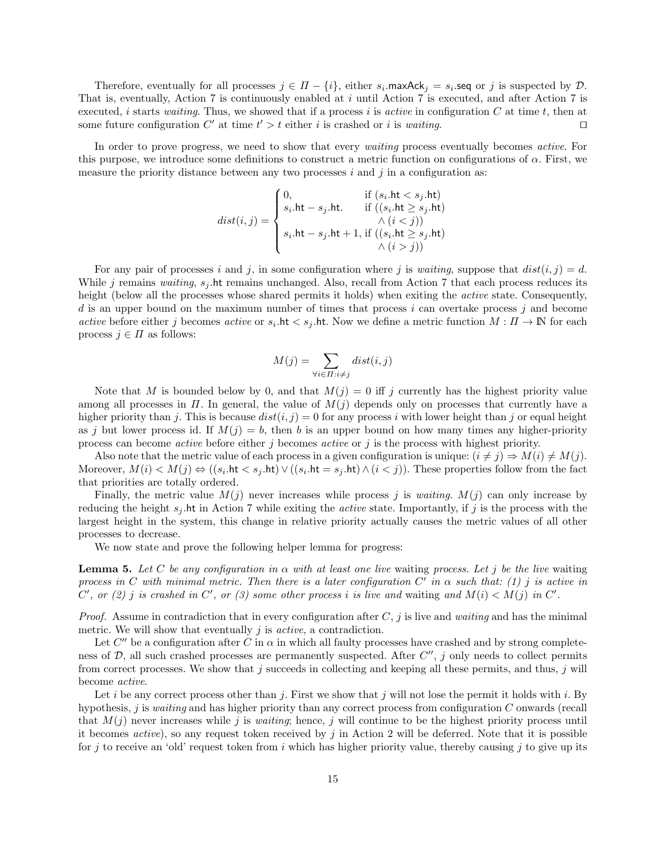Therefore, eventually for all processes  $j \in \Pi - \{i\}$ , either  $s_i$  maxAck $j = s_i$  seq or j is suspected by  $\mathcal{D}$ . That is, eventually, Action 7 is continuously enabled at i until Action 7 is executed, and after Action 7 is executed, i starts waiting. Thus, we showed that if a process i is active in configuration  $C$  at time t, then at some future configuration C' at time  $t' > t$  either i is crashed or i is waiting.

In order to prove progress, we need to show that every *waiting* process eventually becomes *active*. For this purpose, we introduce some definitions to construct a metric function on configurations of  $\alpha$ . First, we measure the priority distance between any two processes  $i$  and  $j$  in a configuration as:

$$
dist(i,j) = \begin{cases} 0, & \text{if } (s_i.\text{ht} < s_j.\text{ht}) \\ s_i.\text{ht} - s_j.\text{ht}. & \text{if } ((s_i.\text{ht} \ge s_j.\text{ht}) \\ < (i < j)) \\ s_i.\text{ht} - s_j.\text{ht} + 1, & \text{if } ((s_i.\text{ht} \ge s_j.\text{ht}) \\ < (i > j)) \end{cases}
$$

For any pair of processes i and j, in some configuration where j is waiting, suppose that  $dist(i, j) = d$ . While j remains waiting,  $s_j$  ht remains unchanged. Also, recall from Action 7 that each process reduces its height (below all the processes whose shared permits it holds) when exiting the *active* state. Consequently, d is an upper bound on the maximum number of times that process i can overtake process j and become active before either j becomes active or  $s_i$ .ht  $\lt s_j$ .ht. Now we define a metric function  $M: \Pi \to \mathbb{N}$  for each process  $j \in \Pi$  as follows:

$$
M(j) = \sum_{\forall i \in \Pi: i \neq j} dist(i, j)
$$

Note that M is bounded below by 0, and that  $M(j) = 0$  iff j currently has the highest priority value among all processes in  $\Pi$ . In general, the value of  $M(i)$  depends only on processes that currently have a higher priority than j. This is because  $dist(i, j) = 0$  for any process i with lower height than j or equal height as j but lower process id. If  $M(j) = b$ , then b is an upper bound on how many times any higher-priority process can become *active* before either  $j$  becomes *active* or  $j$  is the process with highest priority.

Also note that the metric value of each process in a given configuration is unique:  $(i \neq j) \Rightarrow M(i) \neq M(j)$ . Moreover,  $M(i) < M(j) \Leftrightarrow ((s_i.\text{ht} < s_j.\text{ht}) \vee ((s_i.\text{ht} = s_j.\text{ht}) \wedge (i < j)).$  These properties follow from the fact that priorities are totally ordered.

Finally, the metric value  $M(j)$  never increases while process j is waiting.  $M(j)$  can only increase by reducing the height  $s_j$ .ht in Action 7 while exiting the *active* state. Importantly, if j is the process with the largest height in the system, this change in relative priority actually causes the metric values of all other processes to decrease.

We now state and prove the following helper lemma for progress:

**Lemma 5.** Let C be any configuration in  $\alpha$  with at least one live waiting process. Let j be the live waiting process in C with minimal metric. Then there is a later configuration C' in  $\alpha$  such that: (1) j is active in C', or (2) j is crashed in C', or (3) some other process i is live and waiting and  $M(i) < M(j)$  in C'.

*Proof.* Assume in contradiction that in every configuration after  $C$ , j is live and waiting and has the minimal metric. We will show that eventually  $j$  is *active*, a contradiction.

Let  $C''$  be a configuration after C in  $\alpha$  in which all faulty processes have crashed and by strong completeness of  $D$ , all such crashed processes are permanently suspected. After  $C''$ , j only needs to collect permits from correct processes. We show that  $j$  succeeds in collecting and keeping all these permits, and thus,  $j$  will become active.

Let i be any correct process other than j. First we show that j will not lose the permit it holds with i. By hypothesis,  $j$  is *waiting* and has higher priority than any correct process from configuration  $C$  onwards (recall that  $M(j)$  never increases while j is *waiting*; hence, j will continue to be the highest priority process until it becomes *active*), so any request token received by  $j$  in Action 2 will be deferred. Note that it is possible for j to receive an 'old' request token from i which has higher priority value, thereby causing j to give up its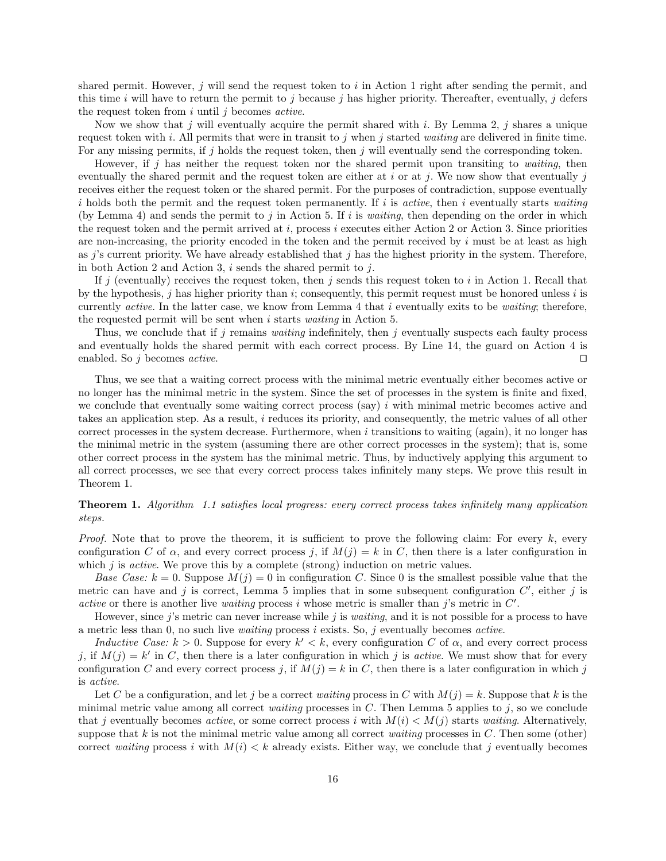shared permit. However, j will send the request token to i in Action 1 right after sending the permit, and this time i will have to return the permit to j because j has higher priority. Thereafter, eventually, j defers the request token from  $i$  until  $j$  becomes *active*.

Now we show that j will eventually acquire the permit shared with i. By Lemma 2, j shares a unique request token with i. All permits that were in transit to j when j started waiting are delivered in finite time. For any missing permits, if j holds the request token, then j will eventually send the corresponding token.

However, if j has neither the request token nor the shared permit upon transiting to *waiting*, then eventually the shared permit and the request token are either at i or at j. We now show that eventually j receives either the request token or the shared permit. For the purposes of contradiction, suppose eventually i holds both the permit and the request token permanently. If i is active, then i eventually starts waiting (by Lemma 4) and sends the permit to j in Action 5. If i is *waiting*, then depending on the order in which the request token and the permit arrived at  $i$ , process  $i$  executes either Action 2 or Action 3. Since priorities are non-increasing, the priority encoded in the token and the permit received by  $i$  must be at least as high as j's current priority. We have already established that j has the highest priority in the system. Therefore, in both Action 2 and Action 3,  $i$  sends the shared permit to  $j$ .

If j (eventually) receives the request token, then j sends this request token to i in Action 1. Recall that by the hypothesis,  $j$  has higher priority than  $i$ ; consequently, this permit request must be honored unless  $i$  is currently *active*. In the latter case, we know from Lemma 4 that i eventually exits to be *waiting*; therefore, the requested permit will be sent when i starts waiting in Action 5.

Thus, we conclude that if j remains *waiting* indefinitely, then j eventually suspects each faulty process and eventually holds the shared permit with each correct process. By Line 14, the guard on Action 4 is enabled. So j becomes active.  $\Box$ 

Thus, we see that a waiting correct process with the minimal metric eventually either becomes active or no longer has the minimal metric in the system. Since the set of processes in the system is finite and fixed, we conclude that eventually some waiting correct process (say)  $i$  with minimal metric becomes active and takes an application step. As a result, i reduces its priority, and consequently, the metric values of all other correct processes in the system decrease. Furthermore, when i transitions to waiting (again), it no longer has the minimal metric in the system (assuming there are other correct processes in the system); that is, some other correct process in the system has the minimal metric. Thus, by inductively applying this argument to all correct processes, we see that every correct process takes infinitely many steps. We prove this result in Theorem 1.

Theorem 1. Algorithm 1.1 satisfies local progress: every correct process takes infinitely many application steps.

*Proof.* Note that to prove the theorem, it is sufficient to prove the following claim: For every  $k$ , every configuration C of  $\alpha$ , and every correct process j, if  $M(j) = k$  in C, then there is a later configuration in which  $j$  is *active*. We prove this by a complete (strong) induction on metric values.

*Base Case:*  $k = 0$ . Suppose  $M(j) = 0$  in configuration C. Since 0 is the smallest possible value that the metric can have and j is correct, Lemma 5 implies that in some subsequent configuration  $C'$ , either j is active or there is another live waiting process i whose metric is smaller than j's metric in  $C'$ .

However, since j's metric can never increase while j is *waiting*, and it is not possible for a process to have a metric less than 0, no such live *waiting* process i exists. So, j eventually becomes *active*.

Inductive Case:  $k > 0$ . Suppose for every  $k' < k$ , every configuration C of  $\alpha$ , and every correct process j, if  $M(j) = k'$  in C, then there is a later configuration in which j is active. We must show that for every configuration C and every correct process j, if  $M(j) = k$  in C, then there is a later configuration in which j is active.

Let C be a configuration, and let j be a correct waiting process in C with  $M(j) = k$ . Suppose that k is the minimal metric value among all correct *waiting* processes in  $C$ . Then Lemma 5 applies to  $j$ , so we conclude that j eventually becomes active, or some correct process i with  $M(i) < M(j)$  starts waiting. Alternatively, suppose that  $k$  is not the minimal metric value among all correct *waiting* processes in  $C$ . Then some (other) correct waiting process i with  $M(i) < k$  already exists. Either way, we conclude that j eventually becomes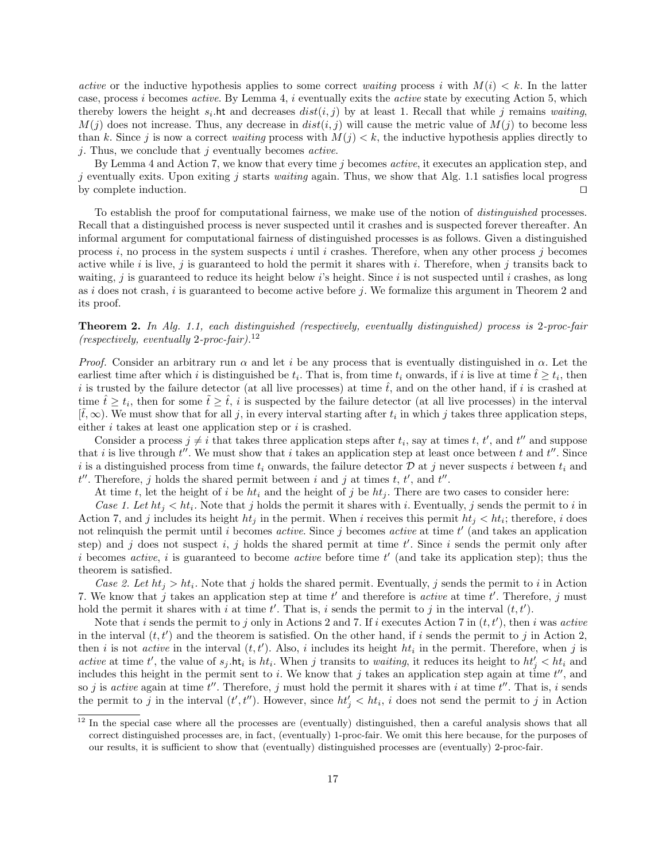active or the inductive hypothesis applies to some correct waiting process i with  $M(i) < k$ . In the latter case, process i becomes active. By Lemma 4, i eventually exits the active state by executing Action 5, which thereby lowers the height  $s_i$ .ht and decreases  $dist(i, j)$  by at least 1. Recall that while j remains waiting,  $M(j)$  does not increase. Thus, any decrease in  $dist(i, j)$  will cause the metric value of  $M(j)$  to become less than k. Since j is now a correct waiting process with  $M(j) < k$ , the inductive hypothesis applies directly to  $i$ . Thus, we conclude that  $j$  eventually becomes *active*.

By Lemma 4 and Action 7, we know that every time  $j$  becomes *active*, it executes an application step, and j eventually exits. Upon exiting j starts waiting again. Thus, we show that Alg. 1.1 satisfies local progress by complete induction.  $\Box$ 

To establish the proof for computational fairness, we make use of the notion of *distinguished* processes. Recall that a distinguished process is never suspected until it crashes and is suspected forever thereafter. An informal argument for computational fairness of distinguished processes is as follows. Given a distinguished process i, no process in the system suspects i until i crashes. Therefore, when any other process j becomes active while i is live, j is guaranteed to hold the permit it shares with i. Therefore, when j transits back to waiting, j is guaranteed to reduce its height below i's height. Since i is not suspected until i crashes, as long as i does not crash, i is guaranteed to become active before j. We formalize this argument in Theorem 2 and its proof.

### Theorem 2. In Alg. 1.1, each distinguished (respectively, eventually distinguished) process is 2-proc-fair (respectively, eventually 2-proc-fair).<sup>12</sup>

*Proof.* Consider an arbitrary run  $\alpha$  and let i be any process that is eventually distinguished in  $\alpha$ . Let the earliest time after which i is distinguished be  $t_i$ . That is, from time  $t_i$  onwards, if i is live at time  $\hat{t} \geq t_i$ , then i is trusted by the failure detector (at all live processes) at time  $\hat{t}$ , and on the other hand, if i is crashed at time  $\hat{t} \geq t_i$ , then for some  $\tilde{t} \geq \hat{t}$ , i is suspected by the failure detector (at all live processes) in the interval  $[\tilde{t}, \infty)$ . We must show that for all j, in every interval starting after  $t_i$  in which j takes three application steps, either  $i$  takes at least one application step or  $i$  is crashed.

Consider a process  $j \neq i$  that takes three application steps after  $t_i$ , say at times  $t, t'$ , and  $t''$  and suppose that i is live through  $t''$ . We must show that i takes an application step at least once between t and  $t''$ . Since i is a distinguished process from time  $t_i$  onwards, the failure detector D at j never suspects i between  $t_i$  and  $t''$ . Therefore, j holds the shared permit between i and j at times t, t', and  $t''$ .

At time t, let the height of i be  $ht_i$  and the height of j be  $ht_i$ . There are two cases to consider here:

Case 1. Let  $ht_i < ht_i$ . Note that j holds the permit it shares with i. Eventually, j sends the permit to i in Action 7, and j includes its height  $ht_j$  in the permit. When i receives this permit  $ht_j < ht_i$ ; therefore, i does not relinquish the permit until i becomes active. Since j becomes active at time  $t'$  (and takes an application step) and j does not suspect i, j holds the shared permit at time  $t'$ . Since i sends the permit only after i becomes active, i is guaranteed to become active before time  $t'$  (and take its application step); thus the theorem is satisfied.

Case 2. Let  $ht_i > ht_i$ . Note that j holds the shared permit. Eventually, j sends the permit to i in Action 7. We know that  $j$  takes an application step at time  $t'$  and therefore is *active* at time  $t'$ . Therefore,  $j$  must hold the permit it shares with i at time t'. That is, i sends the permit to j in the interval  $(t, t')$ .

Note that i sends the permit to j only in Actions 2 and 7. If i executes Action 7 in  $(t, t')$ , then i was active in the interval  $(t, t')$  and the theorem is satisfied. On the other hand, if i sends the permit to j in Action 2, then i is not active in the interval  $(t, t')$ . Also, i includes its height  $ht_i$  in the permit. Therefore, when j is active at time t', the value of  $s_j$ .ht<sub>i</sub> is  $ht_i$ . When j transits to *waiting*, it reduces its height to  $ht'_j < ht_i$  and includes this height in the permit sent to i. We know that j takes an application step again at time  $t''$ , and so j is active again at time  $t''$ . Therefore, j must hold the permit it shares with i at time  $t''$ . That is, i sends the permit to j in the interval  $(t', t'')$ . However, since  $ht'_j < ht_i$ , i does not send the permit to j in Action

<sup>&</sup>lt;sup>12</sup> In the special case where all the processes are (eventually) distinguished, then a careful analysis shows that all correct distinguished processes are, in fact, (eventually) 1-proc-fair. We omit this here because, for the purposes of our results, it is sufficient to show that (eventually) distinguished processes are (eventually) 2-proc-fair.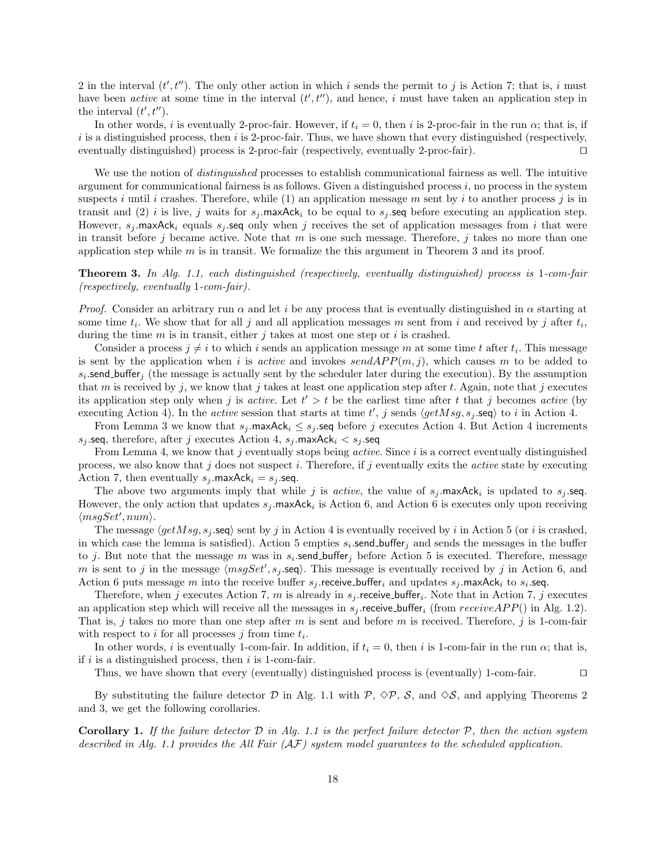2 in the interval  $(t', t'')$ . The only other action in which i sends the permit to j is Action 7; that is, i must have been *active* at some time in the interval  $(t', t'')$ , and hence, i must have taken an application step in the interval  $(t', t'')$ .

In other words, i is eventually 2-proc-fair. However, if  $t_i = 0$ , then i is 2-proc-fair in the run  $\alpha$ ; that is, if  $i$  is a distinguished process, then  $i$  is 2-proc-fair. Thus, we have shown that every distinguished (respectively, eventually distinguished) process is 2-proc-fair (respectively, eventually 2-proc-fair).  $\square$ 

We use the notion of *distinguished* processes to establish communicational fairness as well. The intuitive argument for communicational fairness is as follows. Given a distinguished process  $i$ , no process in the system suspects i until i crashes. Therefore, while (1) an application message m sent by i to another process j is in transit and (2) i is live, j waits for  $s_j$  maxAck<sub>i</sub> to be equal to  $s_j$  seq before executing an application step. However,  $s_j$  maxAck<sub>i</sub> equals  $s_j$  seq only when j receives the set of application messages from i that were in transit before j became active. Note that  $m$  is one such message. Therefore, j takes no more than one application step while  $m$  is in transit. We formalize the this argument in Theorem 3 and its proof.

Theorem 3. In Alg. 1.1, each distinguished (respectively, eventually distinguished) process is 1-com-fair (respectively, eventually 1-com-fair).

*Proof.* Consider an arbitrary run  $\alpha$  and let i be any process that is eventually distinguished in  $\alpha$  starting at some time  $t_i$ . We show that for all j and all application messages m sent from i and received by j after  $t_i$ , during the time  $m$  is in transit, either  $j$  takes at most one step or  $i$  is crashed.

Consider a process  $j \neq i$  to which i sends an application message m at some time t after  $t_i$ . This message is sent by the application when i is active and invokes sendAPP $(m, j)$ , which causes m to be added to  $s_i$  send buffer, (the message is actually sent by the scheduler later during the execution). By the assumption that m is received by j, we know that j takes at least one application step after t. Again, note that j executes its application step only when j is active. Let  $t' > t$  be the earliest time after t that j becomes active (by executing Action 4). In the *active* session that starts at time  $t'$ , j sends  $\langle getMsg, s_j.\text{seq}\rangle$  to i in Action 4.

From Lemma 3 we know that  $s_i$  maxAck<sub>i</sub>  $\leq s_i$  seq before j executes Action 4. But Action 4 increments  $s_i$  seq, therefore, after j executes Action 4,  $s_i$  maxAck $i < s_i$  seq

From Lemma 4, we know that j eventually stops being *active*. Since i is a correct eventually distinguished process, we also know that  $j$  does not suspect  $i$ . Therefore, if  $j$  eventually exits the *active* state by executing Action 7, then eventually  $s_j$  maxAck<sub>i</sub> =  $s_j$  seq.

The above two arguments imply that while j is active, the value of  $s_j$  maxAck<sub>i</sub> is updated to  $s_j$  seq. However, the only action that updates  $s_j$  maxAck<sub>i</sub> is Action 6, and Action 6 is executes only upon receiving  $\langle msgSet', num \rangle$ .

The message  $\langle getMsg, s_j \text{.seq} \rangle$  sent by j in Action 4 is eventually received by i in Action 5 (or i is crashed, in which case the lemma is satisfied). Action 5 empties  $s_i$  send buffer, and sends the messages in the buffer to j. But note that the message m was in  $s_i$  send buffer, before Action 5 is executed. Therefore, message m is sent to j in the message  $\langle msgSet', s_j \text{ .seq} \rangle$ . This message is eventually received by j in Action 6, and Action 6 puts message m into the receive buffer  $s_j$  receive buffer, and updates  $s_j$  maxAck, to  $s_i$  seq.

Therefore, when j executes Action 7, m is already in  $s_j$  receive buffer. Note that in Action 7, j executes an application step which will receive all the messages in  $s_i$  receive buffer<sub>i</sub> (from receive APP() in Alg. 1.2). That is, j takes no more than one step after m is sent and before m is received. Therefore, j is 1-com-fair with respect to  $i$  for all processes  $j$  from time  $t_i$ .

In other words, i is eventually 1-com-fair. In addition, if  $t_i = 0$ , then i is 1-com-fair in the run  $\alpha$ ; that is, if  $i$  is a distinguished process, then  $i$  is 1-com-fair.

Thus, we have shown that every (eventually) distinguished process is (eventually) 1-com-fair.  $\Box$ 

By substituting the failure detector D in Alg. 1.1 with  $\mathcal{P}, \Diamond \mathcal{P}, \mathcal{S},$  and  $\Diamond \mathcal{S},$  and applying Theorems 2 and 3, we get the following corollaries.

**Corollary 1.** If the failure detector  $D$  in Alg. 1.1 is the perfect failure detector  $P$ , then the action system described in Alg. 1.1 provides the All Fair  $(AF)$  system model guarantees to the scheduled application.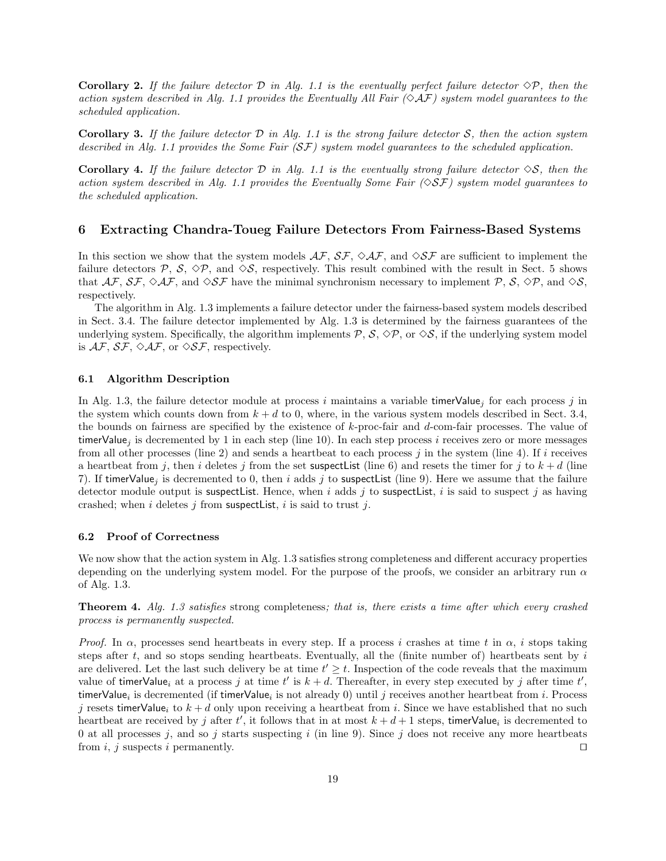**Corollary 2.** If the failure detector  $\mathcal{D}$  in Alg. 1.1 is the eventually perfect failure detector  $\Diamond \mathcal{P}$ , then the action system described in Alg. 1.1 provides the Eventually All Fair  $(\Diamond A\mathcal{F})$  system model guarantees to the scheduled application.

**Corollary 3.** If the failure detector  $D$  in Alg. 1.1 is the strong failure detector  $S$ , then the action system described in Alg. 1.1 provides the Some Fair  $(SF)$  system model guarantees to the scheduled application.

**Corollary 4.** If the failure detector  $D$  in Alg. 1.1 is the eventually strong failure detector  $\Diamond S$ , then the action system described in Alg. 1.1 provides the Eventually Some Fair  $(\Diamond S\mathcal{F})$  system model guarantees to the scheduled application.

# 6 Extracting Chandra-Toueg Failure Detectors From Fairness-Based Systems

In this section we show that the system models  $\mathcal{AF}, \mathcal{SF}, \Diamond \mathcal{AF},$  and  $\Diamond \mathcal{SF}$  are sufficient to implement the failure detectors  $\mathcal{P}, \mathcal{S}, \diamondsuit \mathcal{P},$  and  $\diamondsuit \mathcal{S}$ , respectively. This result combined with the result in Sect. 5 shows that  $\mathcal{AF}, \mathcal{SF}, \Diamond \mathcal{AF},$  and  $\Diamond \mathcal{SF}$  have the minimal synchronism necessary to implement  $\mathcal{P}, \mathcal{S}, \Diamond \mathcal{P},$  and  $\Diamond \mathcal{S},$ respectively.

The algorithm in Alg. 1.3 implements a failure detector under the fairness-based system models described in Sect. 3.4. The failure detector implemented by Alg. 1.3 is determined by the fairness guarantees of the underlying system. Specifically, the algorithm implements  $P, S, \Diamond P$ , or  $\Diamond S$ , if the underlying system model is  $\mathcal{AF}, \mathcal{SF}, \Diamond \mathcal{AF},$  or  $\Diamond \mathcal{SF}$ , respectively.

### 6.1 Algorithm Description

In Alg. 1.3, the failure detector module at process i maintains a variable timerValue, for each process j in the system which counts down from  $k + d$  to 0, where, in the various system models described in Sect. 3.4, the bounds on fairness are specified by the existence of  $k$ -proc-fair and  $d$ -com-fair processes. The value of timerValue<sub>j</sub> is decremented by 1 in each step (line 10). In each step process i receives zero or more messages from all other processes (line 2) and sends a heartbeat to each process j in the system (line 4). If i receives a heartbeat from j, then i deletes j from the set suspectList (line 6) and resets the timer for j to  $k + d$  (line 7). If timerValue<sub>i</sub> is decremented to 0, then i adds j to suspectList (line 9). Here we assume that the failure detector module output is suspectlist. Hence, when i adds j to suspectlist, i is said to suspect j as having crashed; when  $i$  deletes  $j$  from suspect List,  $i$  is said to trust  $j$ .

### 6.2 Proof of Correctness

We now show that the action system in Alg. 1.3 satisfies strong completeness and different accuracy properties depending on the underlying system model. For the purpose of the proofs, we consider an arbitrary run  $\alpha$ of Alg. 1.3.

**Theorem 4.** Alg. 1.3 satisfies strong completeness; that is, there exists a time after which every crashed process is permanently suspected.

Proof. In  $\alpha$ , processes send heartbeats in every step. If a process i crashes at time t in  $\alpha$ , i stops taking steps after  $t$ , and so stops sending heartbeats. Eventually, all the (finite number of) heartbeats sent by  $i$ are delivered. Let the last such delivery be at time  $t' \geq t$ . Inspection of the code reveals that the maximum value of timerValue<sub>i</sub> at a process j at time t' is  $k + d$ . Thereafter, in every step executed by j after time t', timerValue<sub>i</sub> is decremented (if timerValue<sub>i</sub> is not already 0) until *j* receives another heartbeat from *i*. Process j resets timerValue<sub>i</sub> to  $k + d$  only upon receiving a heartbeat from i. Since we have established that no such heartbeat are received by j after t', it follows that in at most  $k + d + 1$  steps, timerValue<sub>i</sub> is decremented to 0 at all processes j, and so j starts suspecting i (in line 9). Since j does not receive any more heartbeats from i, j suspects i permanently.  $\square$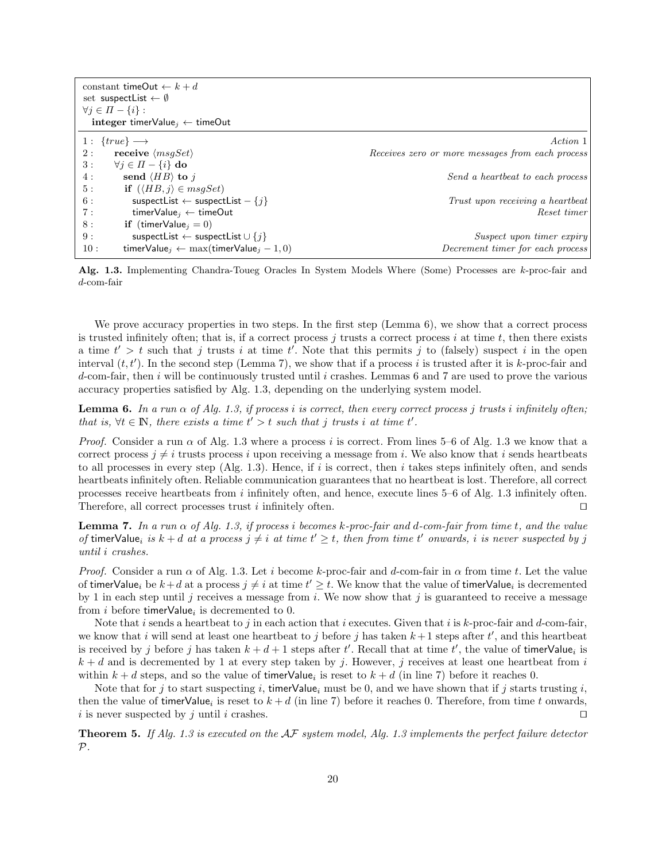| constant timeOut $\leftarrow k+d$<br>set suspectList $\leftarrow \emptyset$<br>$\forall i \in \Pi - \{i\} :$<br>integer timer $Value_j \leftarrow$ timeOut |                                                  |
|------------------------------------------------------------------------------------------------------------------------------------------------------------|--------------------------------------------------|
| 1: $\{true\} \longrightarrow$                                                                                                                              | Action 1                                         |
| receive $\langle msgSet \rangle$<br>2:                                                                                                                     | Receives zero or more messages from each process |
| $\forall i \in \Pi - \{i\}$ do<br>3:                                                                                                                       |                                                  |
| send $\langle HB \rangle$ to j<br>4 :                                                                                                                      | Send a heartbeat to each process                 |
| if $(\langle HB, j \rangle \in msgSet)$<br>5:                                                                                                              |                                                  |
| suspectList $\leftarrow$ suspectList $-\{j\}$<br>6 :                                                                                                       | Trust upon receiving a heartbeat                 |
| timerValue <sub>i</sub> $\leftarrow$ timeOut<br>7:                                                                                                         | Reset timer                                      |
| if (timerValue <sub>i</sub> = 0)<br>8 :                                                                                                                    |                                                  |
| suspectList $\leftarrow$ suspectList $\cup \{i\}$<br>9:                                                                                                    | Suspect upon timer expiry                        |
| timerValue <sub>i</sub> $\leftarrow$ max(timerValue <sub>i</sub> - 1, 0)<br>10:                                                                            | Decrement timer for each process                 |

Alg. 1.3. Implementing Chandra-Toueg Oracles In System Models Where (Some) Processes are k-proc-fair and d-com-fair

We prove accuracy properties in two steps. In the first step (Lemma  $6$ ), we show that a correct process is trusted infinitely often; that is, if a correct process j trusts a correct process i at time t, then there exists a time  $t' > t$  such that j trusts i at time t'. Note that this permits j to (falsely) suspect i in the open interval  $(t, t')$ . In the second step (Lemma 7), we show that if a process i is trusted after it is k-proc-fair and  $d$ -com-fair, then i will be continuously trusted until i crashes. Lemmas 6 and 7 are used to prove the various accuracy properties satisfied by Alg. 1.3, depending on the underlying system model.

**Lemma 6.** In a run  $\alpha$  of Alg. 1.3, if process i is correct, then every correct process j trusts i infinitely often; that is,  $\forall t \in \mathbb{N}$ , there exists a time  $t' > t$  such that j trusts i at time  $t'$ .

*Proof.* Consider a run  $\alpha$  of Alg. 1.3 where a process i is correct. From lines 5–6 of Alg. 1.3 we know that a correct process  $j \neq i$  trusts process i upon receiving a message from i. We also know that i sends heartbeats to all processes in every step (Alg. 1.3). Hence, if i is correct, then i takes steps infinitely often, and sends heartbeats infinitely often. Reliable communication guarantees that no heartbeat is lost. Therefore, all correct processes receive heartbeats from i infinitely often, and hence, execute lines  $5-6$  of Alg. 1.3 infinitely often. Therefore, all correct processes trust i infinitely often.  $\Box$ 

**Lemma 7.** In a run  $\alpha$  of Alg. 1.3, if process i becomes k-proc-fair and d-com-fair from time t, and the value of timerValue<sub>i</sub> is  $k + d$  at a process  $j \neq i$  at time  $t' \geq t$ , then from time  $t'$  onwards, i is never suspected by j until i crashes.

Proof. Consider a run  $\alpha$  of Alg. 1.3. Let i become k-proc-fair and d-com-fair in  $\alpha$  from time t. Let the value of timerValue<sub>i</sub> be  $k+d$  at a process  $j \neq i$  at time  $t' \geq t$ . We know that the value of timerValue<sub>i</sub> is decremented by 1 in each step until j receives a message from i. We now show that j is guaranteed to receive a message from *i* before timer Value<sub>*i*</sub> is decremented to 0.

Note that i sends a heartbeat to j in each action that i executes. Given that i is k-proc-fair and d-com-fair, we know that i will send at least one heartbeat to j before j has taken  $k+1$  steps after  $t'$ , and this heartbeat is received by j before j has taken  $k + d + 1$  steps after t'. Recall that at time t', the value of timerValue<sub>i</sub> is  $k + d$  and is decremented by 1 at every step taken by j. However, j receives at least one heartbeat from i within  $k + d$  steps, and so the value of timerValue<sub>i</sub> is reset to  $k + d$  (in line 7) before it reaches 0.

Note that for j to start suspecting i, timerValue<sub>i</sub> must be 0, and we have shown that if j starts trusting i, then the value of timerValue<sub>i</sub> is reset to  $k + d$  (in line 7) before it reaches 0. Therefore, from time t onwards, i is never suspected by j until i crashes.

**Theorem 5.** If Alg. 1.3 is executed on the  $AF$  system model, Alg. 1.3 implements the perfect failure detector  $\mathcal{P}$ .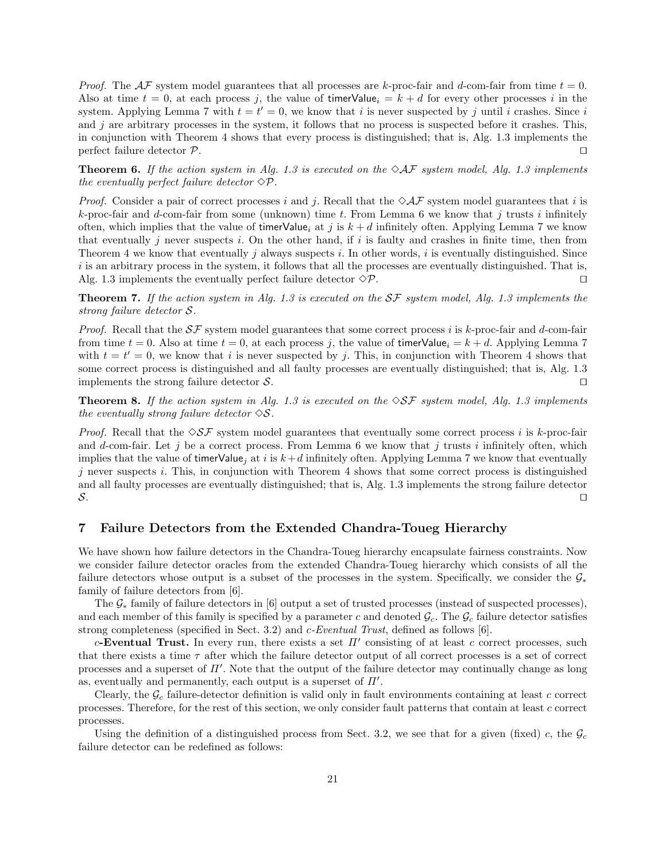*Proof.* The  $AF$  system model guarantees that all processes are k-proc-fair and d-com-fair from time  $t = 0$ . Also at time  $t = 0$ , at each process j, the value of timerValue<sub>i</sub> =  $k + d$  for every other processes i in the system. Applying Lemma 7 with  $t = t' = 0$ , we know that i is never suspected by j until i crashes. Since i and  $j$  are arbitrary processes in the system, it follows that no process is suspected before it crashes. This, in conjunction with Theorem 4 shows that every process is distinguished; that is, Alg. 1.3 implements the perfect failure detector  $P$ .

**Theorem 6.** If the action system in Alg. 1.3 is executed on the  $\Diamond AF$  system model, Alg. 1.3 implements the eventually perfect failure detector  $\Diamond \mathcal{P}$ .

*Proof.* Consider a pair of correct processes i and j. Recall that the  $\Diamond A\mathcal{F}$  system model guarantees that i is k-proc-fair and d-com-fair from some (unknown) time t. From Lemma 6 we know that j trusts i infinitely often, which implies that the value of timerValue<sub>i</sub> at j is  $k + d$  infinitely often. Applying Lemma 7 we know that eventually  $j$  never suspects  $i$ . On the other hand, if  $i$  is faulty and crashes in finite time, then from Theorem 4 we know that eventually j always suspects i. In other words, i is eventually distinguished. Since  $i$  is an arbitrary process in the system, it follows that all the processes are eventually distinguished. That is, Alg. 1.3 implements the eventually perfect failure detector  $\Diamond \mathcal{P}$ .

**Theorem 7.** If the action system in Alg. 1.3 is executed on the  $SF$  system model, Alg. 1.3 implements the strong failure detector S.

*Proof.* Recall that the  $S\mathcal{F}$  system model guarantees that some correct process i is k-proc-fair and d-com-fair from time  $t = 0$ . Also at time  $t = 0$ , at each process j, the value of timerValue<sub>i</sub> =  $k + d$ . Applying Lemma 7 with  $t = t' = 0$ , we know that i is never suspected by j. This, in conjunction with Theorem 4 shows that some correct process is distinguished and all faulty processes are eventually distinguished; that is, Alg. 1.3 implements the strong failure detector  $S$ .

**Theorem 8.** If the action system in Alg. 1.3 is executed on the  $\Diamond SF$  system model, Alg. 1.3 implements the eventually strong failure detector  $\Diamond S$ .

*Proof.* Recall that the  $\Diamond SF$  system model guarantees that eventually some correct process i is k-proc-fair and d-com-fair. Let j be a correct process. From Lemma 6 we know that j trusts i infinitely often, which implies that the value of timerValue<sub>i</sub> at i is  $k+d$  infinitely often. Applying Lemma 7 we know that eventually  $j$  never suspects i. This, in conjunction with Theorem 4 shows that some correct process is distinguished and all faulty processes are eventually distinguished; that is, Alg. 1.3 implements the strong failure detector  $\mathcal{S}.$  Under the contract of the contract of the contract of the contract of the contract of the contract of the contract of the contract of the contract of the contract of the contract of the contract of the contract o

# 7 Failure Detectors from the Extended Chandra-Toueg Hierarchy

We have shown how failure detectors in the Chandra-Toueg hierarchy encapsulate fairness constraints. Now we consider failure detector oracles from the extended Chandra-Toueg hierarchy which consists of all the failure detectors whose output is a subset of the processes in the system. Specifically, we consider the  $\mathcal{G}_*$ family of failure detectors from [6].

The  $\mathcal{G}_*$  family of failure detectors in [6] output a set of trusted processes (instead of suspected processes), and each member of this family is specified by a parameter c and denoted  $\mathcal{G}_c$ . The  $\mathcal{G}_c$  failure detector satisfies strong completeness (specified in Sect. 3.2) and c-Eventual Trust, defined as follows [6].

c-Eventual Trust. In every run, there exists a set  $\Pi'$  consisting of at least c correct processes, such that there exists a time  $\tau$  after which the failure detector output of all correct processes is a set of correct processes and a superset of  $\Pi'$ . Note that the output of the failure detector may continually change as long as, eventually and permanently, each output is a superset of  $\Pi'$ .

Clearly, the  $\mathcal{G}_c$  failure-detector definition is valid only in fault environments containing at least c correct processes. Therefore, for the rest of this section, we only consider fault patterns that contain at least c correct processes.

Using the definition of a distinguished process from Sect. 3.2, we see that for a given (fixed) c, the  $\mathcal{G}_c$ failure detector can be redefined as follows: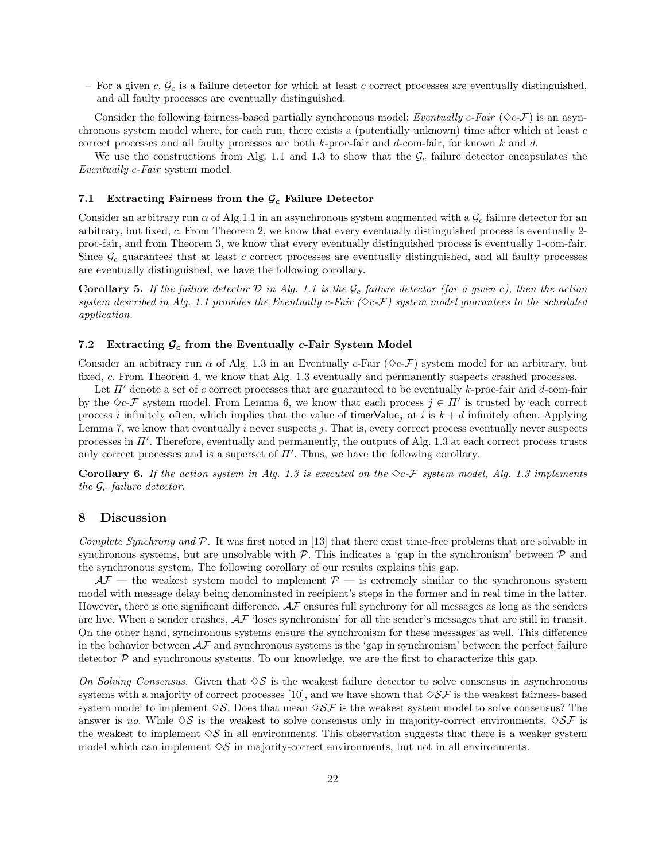– For a given c,  $\mathcal{G}_c$  is a failure detector for which at least c correct processes are eventually distinguished, and all faulty processes are eventually distinguished.

Consider the following fairness-based partially synchronous model: Eventually c-Fair ( $\Diamond c$ -F) is an asynchronous system model where, for each run, there exists a (potentially unknown) time after which at least  $c$ correct processes and all faulty processes are both  $k$ -proc-fair and  $d$ -com-fair, for known  $k$  and  $d$ .

We use the constructions from Alg. 1.1 and 1.3 to show that the  $\mathcal{G}_c$  failure detector encapsulates the Eventually c-Fair system model.

#### 7.1 Extracting Fairness from the  $\mathcal{G}_c$  Failure Detector

Consider an arbitrary run  $\alpha$  of Alg.1.1 in an asynchronous system augmented with a  $\mathcal{G}_c$  failure detector for an arbitrary, but fixed, c. From Theorem 2, we know that every eventually distinguished process is eventually 2 proc-fair, and from Theorem 3, we know that every eventually distinguished process is eventually 1-com-fair. Since  $\mathcal{G}_c$  guarantees that at least c correct processes are eventually distinguished, and all faulty processes are eventually distinguished, we have the following corollary.

**Corollary 5.** If the failure detector  $D$  in Alg. 1.1 is the  $\mathcal{G}_c$  failure detector (for a given c), then the action system described in Alg. 1.1 provides the Eventually c-Fair  $(\Diamond c\text{-}F)$  system model guarantees to the scheduled application.

#### 7.2 Extracting  $\mathcal{G}_c$  from the Eventually c-Fair System Model

Consider an arbitrary run  $\alpha$  of Alg. 1.3 in an Eventually c-Fair ( $\Diamond c$ - $\mathcal{F}$ ) system model for an arbitrary, but fixed, c. From Theorem 4, we know that Alg. 1.3 eventually and permanently suspects crashed processes.

Let  $\Pi'$  denote a set of c correct processes that are guaranteed to be eventually k-proc-fair and d-com-fair by the  $\Diamond c$ -F system model. From Lemma 6, we know that each process  $j \in \Pi'$  is trusted by each correct process i infinitely often, which implies that the value of timerValue<sub>i</sub> at i is  $k + d$  infinitely often. Applying Lemma 7, we know that eventually  $i$  never suspects  $j$ . That is, every correct process eventually never suspects processes in  $\Pi'$ . Therefore, eventually and permanently, the outputs of Alg. 1.3 at each correct process trusts only correct processes and is a superset of  $\Pi'$ . Thus, we have the following corollary.

Corollary 6. If the action system in Alg. 1.3 is executed on the  $\Diamond c$ -F system model, Alg. 1.3 implements the  $\mathcal{G}_c$  failure detector.

# 8 Discussion

Complete Synchrony and P. It was first noted in [13] that there exist time-free problems that are solvable in synchronous systems, but are unsolvable with  $P$ . This indicates a 'gap in the synchronism' between  $P$  and the synchronous system. The following corollary of our results explains this gap.

 $A\mathcal{F}$  — the weakest system model to implement  $\mathcal{P}$  — is extremely similar to the synchronous system model with message delay being denominated in recipient's steps in the former and in real time in the latter. However, there is one significant difference.  $A\mathcal{F}$  ensures full synchrony for all messages as long as the senders are live. When a sender crashes,  $\mathcal{AF}$  'loses synchronism' for all the sender's messages that are still in transit. On the other hand, synchronous systems ensure the synchronism for these messages as well. This difference in the behavior between  $\mathcal{AF}$  and synchronous systems is the 'gap in synchronism' between the perfect failure detector  $P$  and synchronous systems. To our knowledge, we are the first to characterize this gap.

On Solving Consensus. Given that  $\Diamond S$  is the weakest failure detector to solve consensus in asynchronous systems with a majority of correct processes [10], and we have shown that  $\Diamond S\mathcal{F}$  is the weakest fairness-based system model to implement  $\Diamond S$ . Does that mean  $\Diamond S\mathcal{F}$  is the weakest system model to solve consensus? The answer is no. While  $\Diamond S$  is the weakest to solve consensus only in majority-correct environments,  $\Diamond S\mathcal{F}$  is the weakest to implement  $\Diamond S$  in all environments. This observation suggests that there is a weaker system model which can implement  $\Diamond S$  in majority-correct environments, but not in all environments.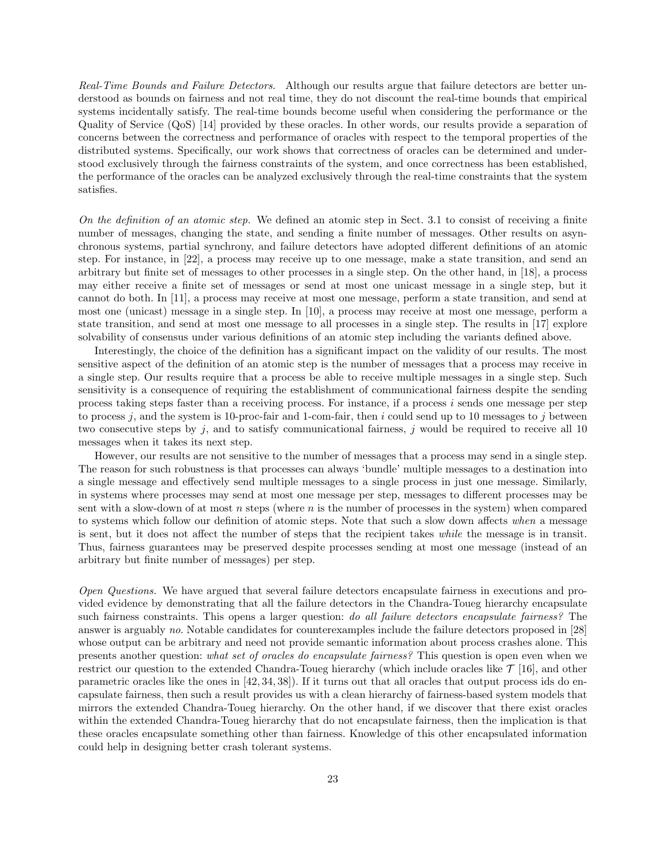Real-Time Bounds and Failure Detectors. Although our results argue that failure detectors are better understood as bounds on fairness and not real time, they do not discount the real-time bounds that empirical systems incidentally satisfy. The real-time bounds become useful when considering the performance or the Quality of Service (QoS) [14] provided by these oracles. In other words, our results provide a separation of concerns between the correctness and performance of oracles with respect to the temporal properties of the distributed systems. Specifically, our work shows that correctness of oracles can be determined and understood exclusively through the fairness constraints of the system, and once correctness has been established, the performance of the oracles can be analyzed exclusively through the real-time constraints that the system satisfies.

On the definition of an atomic step. We defined an atomic step in Sect. 3.1 to consist of receiving a finite number of messages, changing the state, and sending a finite number of messages. Other results on asynchronous systems, partial synchrony, and failure detectors have adopted different definitions of an atomic step. For instance, in [22], a process may receive up to one message, make a state transition, and send an arbitrary but finite set of messages to other processes in a single step. On the other hand, in [18], a process may either receive a finite set of messages or send at most one unicast message in a single step, but it cannot do both. In [11], a process may receive at most one message, perform a state transition, and send at most one (unicast) message in a single step. In [10], a process may receive at most one message, perform a state transition, and send at most one message to all processes in a single step. The results in [17] explore solvability of consensus under various definitions of an atomic step including the variants defined above.

Interestingly, the choice of the definition has a significant impact on the validity of our results. The most sensitive aspect of the definition of an atomic step is the number of messages that a process may receive in a single step. Our results require that a process be able to receive multiple messages in a single step. Such sensitivity is a consequence of requiring the establishment of communicational fairness despite the sending process taking steps faster than a receiving process. For instance, if a process i sends one message per step to process j, and the system is 10-proc-fair and 1-com-fair, then i could send up to 10 messages to j between two consecutive steps by  $j$ , and to satisfy communicational fairness,  $j$  would be required to receive all 10 messages when it takes its next step.

However, our results are not sensitive to the number of messages that a process may send in a single step. The reason for such robustness is that processes can always 'bundle' multiple messages to a destination into a single message and effectively send multiple messages to a single process in just one message. Similarly, in systems where processes may send at most one message per step, messages to different processes may be sent with a slow-down of at most n steps (where  $n$  is the number of processes in the system) when compared to systems which follow our definition of atomic steps. Note that such a slow down affects when a message is sent, but it does not affect the number of steps that the recipient takes while the message is in transit. Thus, fairness guarantees may be preserved despite processes sending at most one message (instead of an arbitrary but finite number of messages) per step.

Open Questions. We have argued that several failure detectors encapsulate fairness in executions and provided evidence by demonstrating that all the failure detectors in the Chandra-Toueg hierarchy encapsulate such fairness constraints. This opens a larger question: *do all failure detectors encapsulate fairness?* The answer is arguably no. Notable candidates for counterexamples include the failure detectors proposed in [28] whose output can be arbitrary and need not provide semantic information about process crashes alone. This presents another question: what set of oracles do encapsulate fairness? This question is open even when we restrict our question to the extended Chandra-Toueg hierarchy (which include oracles like  $\mathcal{T}$  [16], and other parametric oracles like the ones in [42, 34, 38]). If it turns out that all oracles that output process ids do encapsulate fairness, then such a result provides us with a clean hierarchy of fairness-based system models that mirrors the extended Chandra-Toueg hierarchy. On the other hand, if we discover that there exist oracles within the extended Chandra-Toueg hierarchy that do not encapsulate fairness, then the implication is that these oracles encapsulate something other than fairness. Knowledge of this other encapsulated information could help in designing better crash tolerant systems.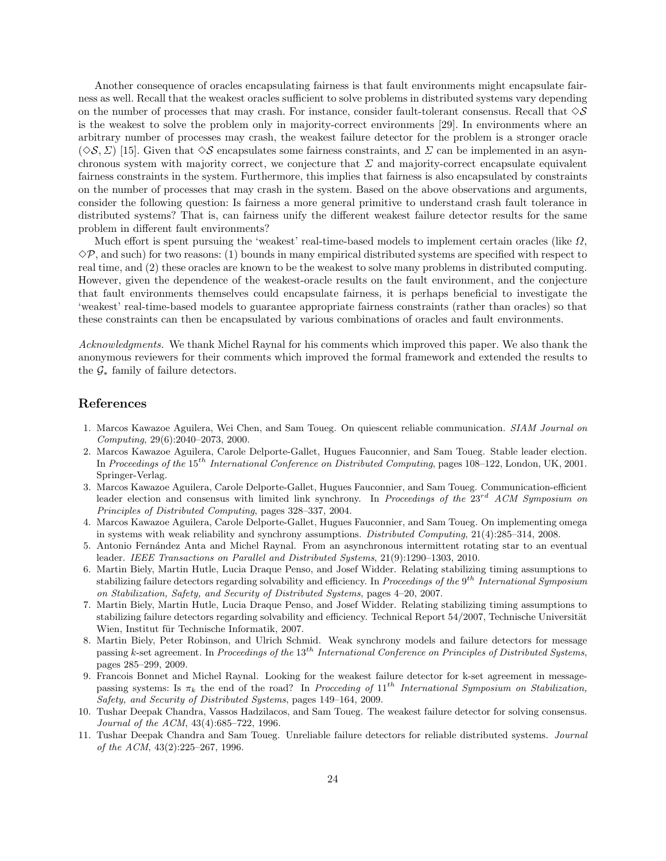Another consequence of oracles encapsulating fairness is that fault environments might encapsulate fairness as well. Recall that the weakest oracles sufficient to solve problems in distributed systems vary depending on the number of processes that may crash. For instance, consider fault-tolerant consensus. Recall that  $\diamondsuit$ is the weakest to solve the problem only in majority-correct environments [29]. In environments where an arbitrary number of processes may crash, the weakest failure detector for the problem is a stronger oracle  $(\Diamond \mathcal{S}, \Sigma)$  [15]. Given that  $\Diamond \mathcal{S}$  encapsulates some fairness constraints, and  $\Sigma$  can be implemented in an asynchronous system with majority correct, we conjecture that  $\Sigma$  and majority-correct encapsulate equivalent fairness constraints in the system. Furthermore, this implies that fairness is also encapsulated by constraints on the number of processes that may crash in the system. Based on the above observations and arguments, consider the following question: Is fairness a more general primitive to understand crash fault tolerance in distributed systems? That is, can fairness unify the different weakest failure detector results for the same problem in different fault environments?

Much effort is spent pursuing the 'weakest' real-time-based models to implement certain oracles (like  $\Omega$ ,  $\Diamond P$ , and such) for two reasons: (1) bounds in many empirical distributed systems are specified with respect to real time, and (2) these oracles are known to be the weakest to solve many problems in distributed computing. However, given the dependence of the weakest-oracle results on the fault environment, and the conjecture that fault environments themselves could encapsulate fairness, it is perhaps beneficial to investigate the 'weakest' real-time-based models to guarantee appropriate fairness constraints (rather than oracles) so that these constraints can then be encapsulated by various combinations of oracles and fault environments.

Acknowledgments. We thank Michel Raynal for his comments which improved this paper. We also thank the anonymous reviewers for their comments which improved the formal framework and extended the results to the  $\mathcal{G}_*$  family of failure detectors.

# References

- 1. Marcos Kawazoe Aguilera, Wei Chen, and Sam Toueg. On quiescent reliable communication. SIAM Journal on Computing, 29(6):2040–2073, 2000.
- 2. Marcos Kawazoe Aguilera, Carole Delporte-Gallet, Hugues Fauconnier, and Sam Toueg. Stable leader election. In Proceedings of the 15<sup>th</sup> International Conference on Distributed Computing, pages 108-122, London, UK, 2001. Springer-Verlag.
- 3. Marcos Kawazoe Aguilera, Carole Delporte-Gallet, Hugues Fauconnier, and Sam Toueg. Communication-efficient leader election and consensus with limited link synchrony. In Proceedings of the  $23^{rd}$  ACM Symposium on Principles of Distributed Computing, pages 328–337, 2004.
- 4. Marcos Kawazoe Aguilera, Carole Delporte-Gallet, Hugues Fauconnier, and Sam Toueg. On implementing omega in systems with weak reliability and synchrony assumptions. Distributed Computing, 21(4):285–314, 2008.
- 5. Antonio Fern´andez Anta and Michel Raynal. From an asynchronous intermittent rotating star to an eventual leader. IEEE Transactions on Parallel and Distributed Systems, 21(9):1290–1303, 2010.
- 6. Martin Biely, Martin Hutle, Lucia Draque Penso, and Josef Widder. Relating stabilizing timing assumptions to stabilizing failure detectors regarding solvability and efficiency. In Proceedings of the  $9^{th}$  International Symposium on Stabilization, Safety, and Security of Distributed Systems, pages 4–20, 2007.
- 7. Martin Biely, Martin Hutle, Lucia Draque Penso, and Josef Widder. Relating stabilizing timing assumptions to stabilizing failure detectors regarding solvability and efficiency. Technical Report  $54/2007$ , Technische Universität Wien, Institut für Technische Informatik, 2007.
- 8. Martin Biely, Peter Robinson, and Ulrich Schmid. Weak synchrony models and failure detectors for message passing k-set agreement. In Proceedings of the  $13^{th}$  International Conference on Principles of Distributed Systems, pages 285–299, 2009.
- 9. Francois Bonnet and Michel Raynal. Looking for the weakest failure detector for k-set agreement in messagepassing systems: Is  $\pi_k$  the end of the road? In Procceding of  $11^{th}$  International Symposium on Stabilization, Safety, and Security of Distributed Systems, pages 149–164, 2009.
- 10. Tushar Deepak Chandra, Vassos Hadzilacos, and Sam Toueg. The weakest failure detector for solving consensus. Journal of the ACM, 43(4):685–722, 1996.
- 11. Tushar Deepak Chandra and Sam Toueg. Unreliable failure detectors for reliable distributed systems. Journal of the ACM, 43(2):225–267, 1996.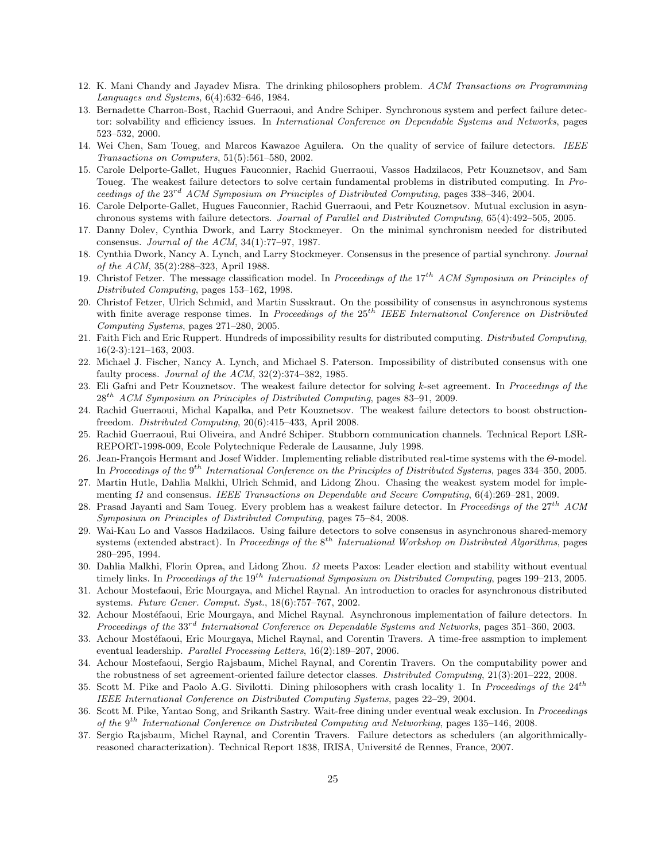- 12. K. Mani Chandy and Jayadev Misra. The drinking philosophers problem. ACM Transactions on Programming Languages and Systems, 6(4):632–646, 1984.
- 13. Bernadette Charron-Bost, Rachid Guerraoui, and Andre Schiper. Synchronous system and perfect failure detector: solvability and efficiency issues. In International Conference on Dependable Systems and Networks, pages 523–532, 2000.
- 14. Wei Chen, Sam Toueg, and Marcos Kawazoe Aguilera. On the quality of service of failure detectors. IEEE Transactions on Computers, 51(5):561–580, 2002.
- 15. Carole Delporte-Gallet, Hugues Fauconnier, Rachid Guerraoui, Vassos Hadzilacos, Petr Kouznetsov, and Sam Toueg. The weakest failure detectors to solve certain fundamental problems in distributed computing. In Proceedings of the  $23^{rd}$  ACM Symposium on Principles of Distributed Computing, pages 338–346, 2004.
- 16. Carole Delporte-Gallet, Hugues Fauconnier, Rachid Guerraoui, and Petr Kouznetsov. Mutual exclusion in asynchronous systems with failure detectors. Journal of Parallel and Distributed Computing, 65(4):492–505, 2005.
- 17. Danny Dolev, Cynthia Dwork, and Larry Stockmeyer. On the minimal synchronism needed for distributed consensus. Journal of the ACM, 34(1):77–97, 1987.
- 18. Cynthia Dwork, Nancy A. Lynch, and Larry Stockmeyer. Consensus in the presence of partial synchrony. Journal of the ACM, 35(2):288–323, April 1988.
- 19. Christof Fetzer. The message classification model. In *Proceedings of the*  $17<sup>th</sup>$  ACM Symposium on Principles of Distributed Computing, pages 153–162, 1998.
- 20. Christof Fetzer, Ulrich Schmid, and Martin Susskraut. On the possibility of consensus in asynchronous systems with finite average response times. In Proceedings of the 25<sup>th</sup> IEEE International Conference on Distributed Computing Systems, pages 271–280, 2005.
- 21. Faith Fich and Eric Ruppert. Hundreds of impossibility results for distributed computing. Distributed Computing, 16(2-3):121–163, 2003.
- 22. Michael J. Fischer, Nancy A. Lynch, and Michael S. Paterson. Impossibility of distributed consensus with one faulty process. Journal of the ACM, 32(2):374–382, 1985.
- 23. Eli Gafni and Petr Kouznetsov. The weakest failure detector for solving k-set agreement. In Proceedings of the  $28<sup>th</sup> ACM Symposium on Principles of Distributed Computing, pages 83–91, 2009.$
- 24. Rachid Guerraoui, Michal Kapalka, and Petr Kouznetsov. The weakest failure detectors to boost obstructionfreedom. Distributed Computing, 20(6):415–433, April 2008.
- 25. Rachid Guerraoui, Rui Oliveira, and André Schiper. Stubborn communication channels. Technical Report LSR-REPORT-1998-009, Ecole Polytechnique Federale de Lausanne, July 1998.
- 26. Jean-François Hermant and Josef Widder. Implementing reliable distributed real-time systems with the  $\Theta$ -model. In Proceedings of the  $9^{th}$  International Conference on the Principles of Distributed Systems, pages 334–350, 2005.
- 27. Martin Hutle, Dahlia Malkhi, Ulrich Schmid, and Lidong Zhou. Chasing the weakest system model for implementing  $\Omega$  and consensus. IEEE Transactions on Dependable and Secure Computing, 6(4):269–281, 2009.
- 28. Prasad Jayanti and Sam Toueg. Every problem has a weakest failure detector. In Proceedings of the  $27^{th}$  ACM Symposium on Principles of Distributed Computing, pages 75–84, 2008.
- 29. Wai-Kau Lo and Vassos Hadzilacos. Using failure detectors to solve consensus in asynchronous shared-memory systems (extended abstract). In Proceedings of the  $8^{th}$  International Workshop on Distributed Algorithms, pages 280–295, 1994.
- 30. Dahlia Malkhi, Florin Oprea, and Lidong Zhou. Ω meets Paxos: Leader election and stability without eventual timely links. In Proceedings of the  $19^{th}$  International Symposium on Distributed Computing, pages 199–213, 2005.
- 31. Achour Mostefaoui, Eric Mourgaya, and Michel Raynal. An introduction to oracles for asynchronous distributed systems. Future Gener. Comput. Syst., 18(6):757–767, 2002.
- 32. Achour Mostéfaoui, Eric Mourgaya, and Michel Raynal. Asynchronous implementation of failure detectors. In Proceedings of the 33<sup>rd</sup> International Conference on Dependable Systems and Networks, pages 351–360, 2003.
- 33. Achour Mostéfaoui, Eric Mourgaya, Michel Raynal, and Corentin Travers. A time-free assmption to implement eventual leadership. Parallel Processing Letters, 16(2):189–207, 2006.
- 34. Achour Mostefaoui, Sergio Rajsbaum, Michel Raynal, and Corentin Travers. On the computability power and the robustness of set agreement-oriented failure detector classes. Distributed Computing, 21(3):201–222, 2008.
- 35. Scott M. Pike and Paolo A.G. Sivilotti. Dining philosophers with crash locality 1. In Proceedings of the  $24^{th}$ IEEE International Conference on Distributed Computing Systems, pages 22–29, 2004.
- 36. Scott M. Pike, Yantao Song, and Srikanth Sastry. Wait-free dining under eventual weak exclusion. In Proceedings of the 9<sup>th</sup> International Conference on Distributed Computing and Networking, pages 135-146, 2008.
- 37. Sergio Rajsbaum, Michel Raynal, and Corentin Travers. Failure detectors as schedulers (an algorithmicallyreasoned characterization). Technical Report 1838, IRISA, Université de Rennes, France, 2007.